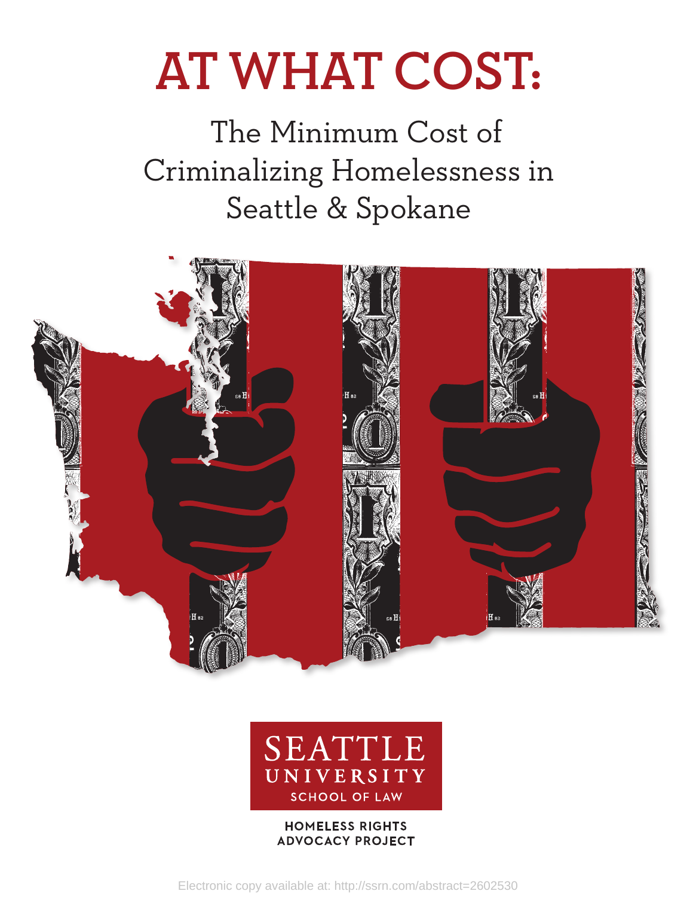# **AT WHAT COST:**

 The Minimum Cost of Criminalizing Homelessness in Seattle & Spokane





# **HOMELESS RIGHTS ADVOCACY PROJECT**

Electronic copy available at: http://ssrn.com/abstract=2602530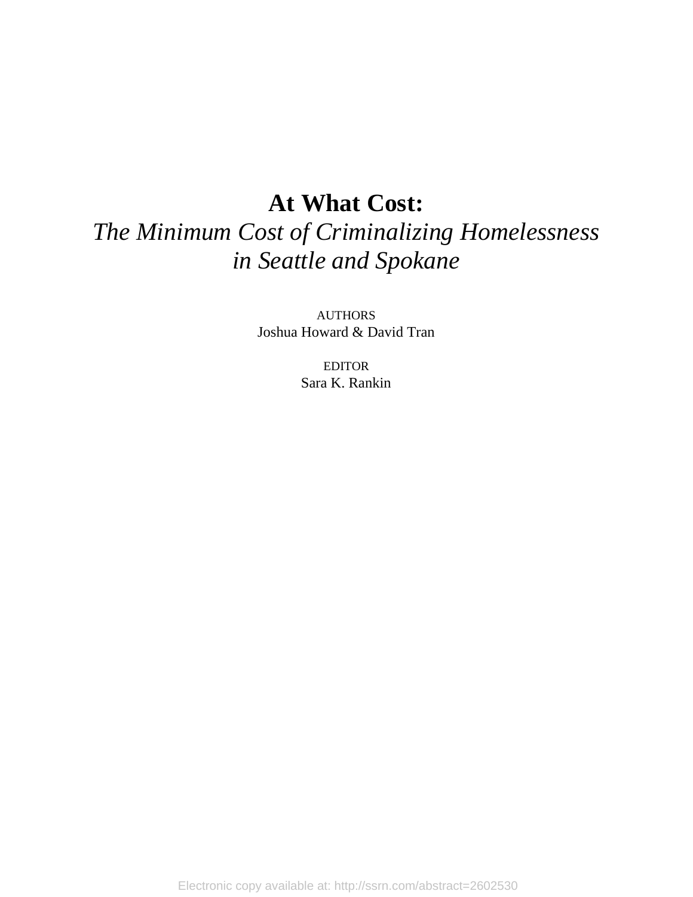# **At What Cost:**

# *The Minimum Cost of Criminalizing Homelessness in Seattle and Spokane*

AUTHORS Joshua Howard & David Tran

> EDITOR Sara K. Rankin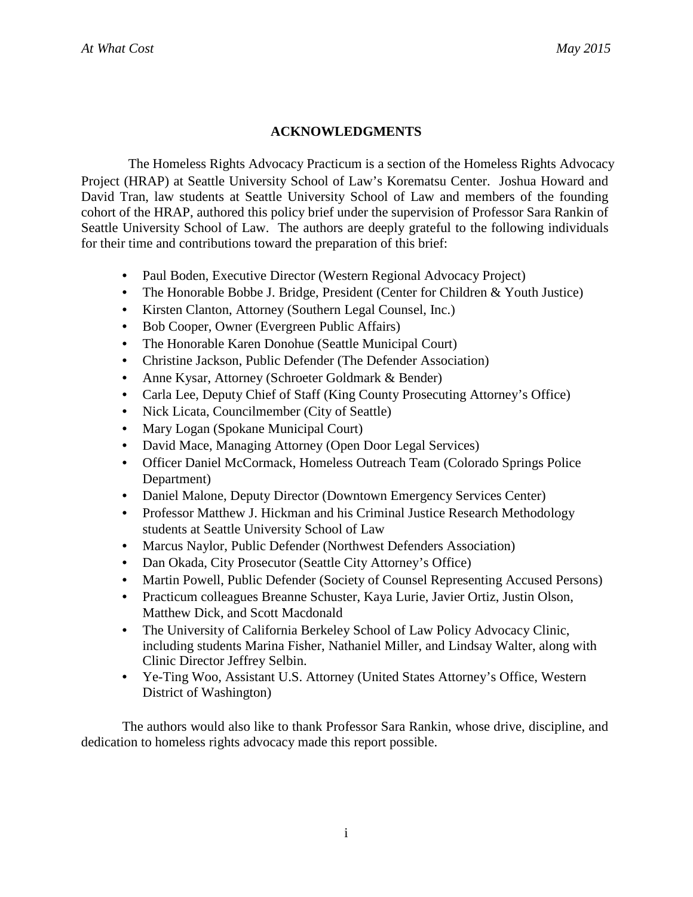# **ACKNOWLEDGMENTS**

The Homeless Rights Advocacy Practicum is a section of the Homeless Rights Advocacy Project (HRAP) at Seattle University School of Law's Korematsu Center. Joshua Howard and David Tran, law students at Seattle University School of Law and members of the founding cohort of the HRAP, authored this policy brief under the supervision of Professor Sara Rankin of Seattle University School of Law. The authors are deeply grateful to the following individuals for their time and contributions toward the preparation of this brief:

- Paul Boden, Executive Director (Western Regional Advocacy Project)
- The Honorable Bobbe J. Bridge, President (Center for Children & Youth Justice)
- Kirsten Clanton, Attorney (Southern Legal Counsel, Inc.)
- Bob Cooper, Owner (Evergreen Public Affairs)
- The Honorable Karen Donohue (Seattle Municipal Court)
- Christine Jackson, Public Defender (The Defender Association)
- Anne Kysar, Attorney (Schroeter Goldmark & Bender)
- Carla Lee, Deputy Chief of Staff (King County Prosecuting Attorney's Office)
- Nick Licata, Councilmember (City of Seattle)
- Mary Logan (Spokane Municipal Court)
- David Mace, Managing Attorney (Open Door Legal Services)
- Officer Daniel McCormack, Homeless Outreach Team (Colorado Springs Police Department)
- Daniel Malone, Deputy Director (Downtown Emergency Services Center)
- Professor Matthew J. Hickman and his Criminal Justice Research Methodology students at Seattle University School of Law
- Marcus Naylor, Public Defender (Northwest Defenders Association)
- Dan Okada, City Prosecutor (Seattle City Attorney's Office)
- Martin Powell, Public Defender (Society of Counsel Representing Accused Persons)
- Practicum colleagues Breanne Schuster, Kaya Lurie, Javier Ortiz, Justin Olson, Matthew Dick, and Scott Macdonald
- The University of California Berkeley School of Law Policy Advocacy Clinic, including students Marina Fisher, Nathaniel Miller, and Lindsay Walter, along with Clinic Director Jeffrey Selbin.
- Ye-Ting Woo, Assistant U.S. Attorney (United States Attorney's Office, Western District of Washington)

The authors would also like to thank Professor Sara Rankin, whose drive, discipline, and dedication to homeless rights advocacy made this report possible.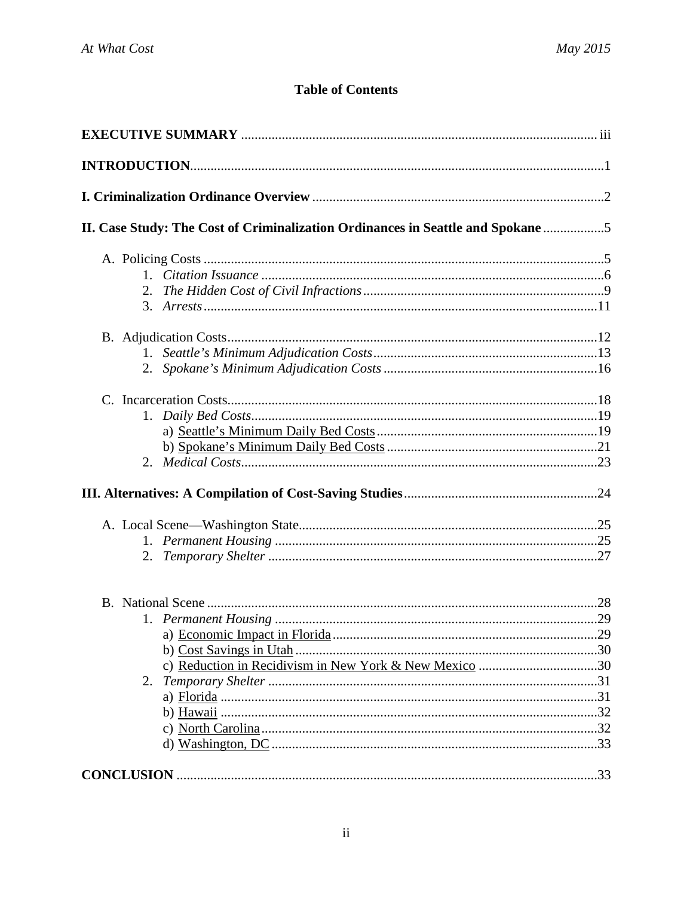# **Table of Contents**

| II. Case Study: The Cost of Criminalization Ordinances in Seattle and Spokane |  |
|-------------------------------------------------------------------------------|--|
|                                                                               |  |
|                                                                               |  |
|                                                                               |  |
|                                                                               |  |
|                                                                               |  |
|                                                                               |  |
|                                                                               |  |
|                                                                               |  |
|                                                                               |  |
|                                                                               |  |
|                                                                               |  |
|                                                                               |  |
|                                                                               |  |
|                                                                               |  |
|                                                                               |  |
|                                                                               |  |
|                                                                               |  |
|                                                                               |  |
|                                                                               |  |
|                                                                               |  |
| c) Reduction in Recidivism in New York & New Mexico 30                        |  |
|                                                                               |  |
|                                                                               |  |
|                                                                               |  |
|                                                                               |  |
|                                                                               |  |
|                                                                               |  |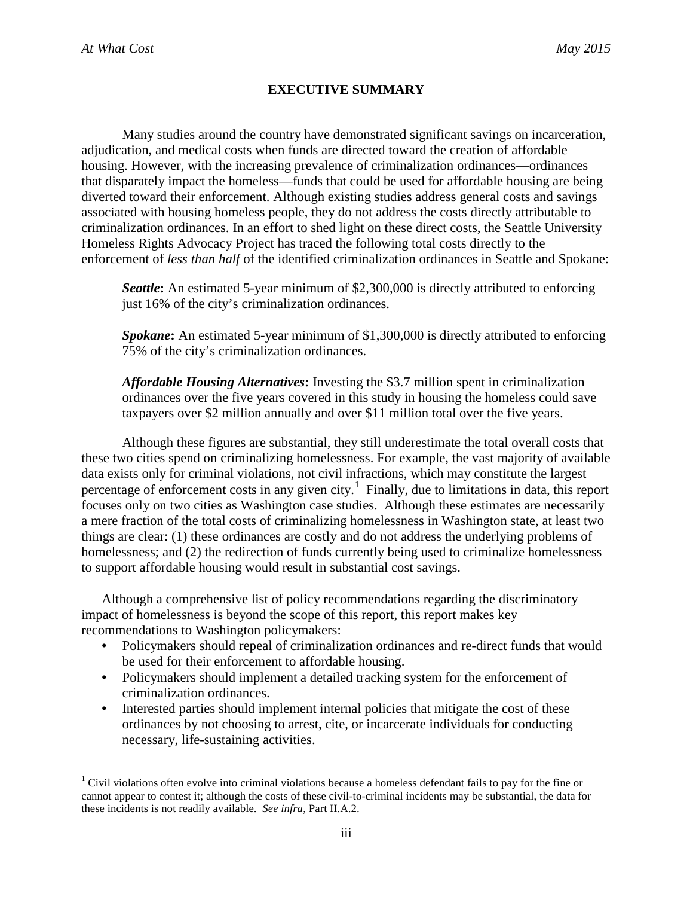# **EXECUTIVE SUMMARY**

Many studies around the country have demonstrated significant savings on incarceration, adjudication, and medical costs when funds are directed toward the creation of affordable housing. However, with the increasing prevalence of criminalization ordinances—ordinances that disparately impact the homeless—funds that could be used for affordable housing are being diverted toward their enforcement. Although existing studies address general costs and savings associated with housing homeless people, they do not address the costs directly attributable to criminalization ordinances. In an effort to shed light on these direct costs, the Seattle University Homeless Rights Advocacy Project has traced the following total costs directly to the enforcement of *less than half* of the identified criminalization ordinances in Seattle and Spokane:

*Seattle***:** An estimated 5-year minimum of \$2,300,000 is directly attributed to enforcing just 16% of the city's criminalization ordinances.

*Spokane***:** An estimated 5-year minimum of \$1,300,000 is directly attributed to enforcing 75% of the city's criminalization ordinances.

*Affordable Housing Alternatives***:** Investing the \$3.7 million spent in criminalization ordinances over the five years covered in this study in housing the homeless could save taxpayers over \$2 million annually and over \$11 million total over the five years.

Although these figures are substantial, they still underestimate the total overall costs that these two cities spend on criminalizing homelessness. For example, the vast majority of available data exists only for criminal violations, not civil infractions, which may constitute the largest percentage of enforcement costs in any given city.<sup>[1](#page-4-0)</sup> Finally, due to limitations in data, this report focuses only on two cities as Washington case studies. Although these estimates are necessarily a mere fraction of the total costs of criminalizing homelessness in Washington state, at least two things are clear: (1) these ordinances are costly and do not address the underlying problems of homelessness; and (2) the redirection of funds currently being used to criminalize homelessness to support affordable housing would result in substantial cost savings.

Although a comprehensive list of policy recommendations regarding the discriminatory impact of homelessness is beyond the scope of this report, this report makes key recommendations to Washington policymakers:

- Policymakers should repeal of criminalization ordinances and re-direct funds that would be used for their enforcement to affordable housing.
- Policymakers should implement a detailed tracking system for the enforcement of criminalization ordinances.
- Interested parties should implement internal policies that mitigate the cost of these ordinances by not choosing to arrest, cite, or incarcerate individuals for conducting necessary, life-sustaining activities.

<span id="page-4-0"></span><sup>&</sup>lt;sup>1</sup> Civil violations often evolve into criminal violations because a homeless defendant fails to pay for the fine or cannot appear to contest it; although the costs of these civil-to-criminal incidents may be substantial, the data for these incidents is not readily available. *See infra*, Part II.A.2.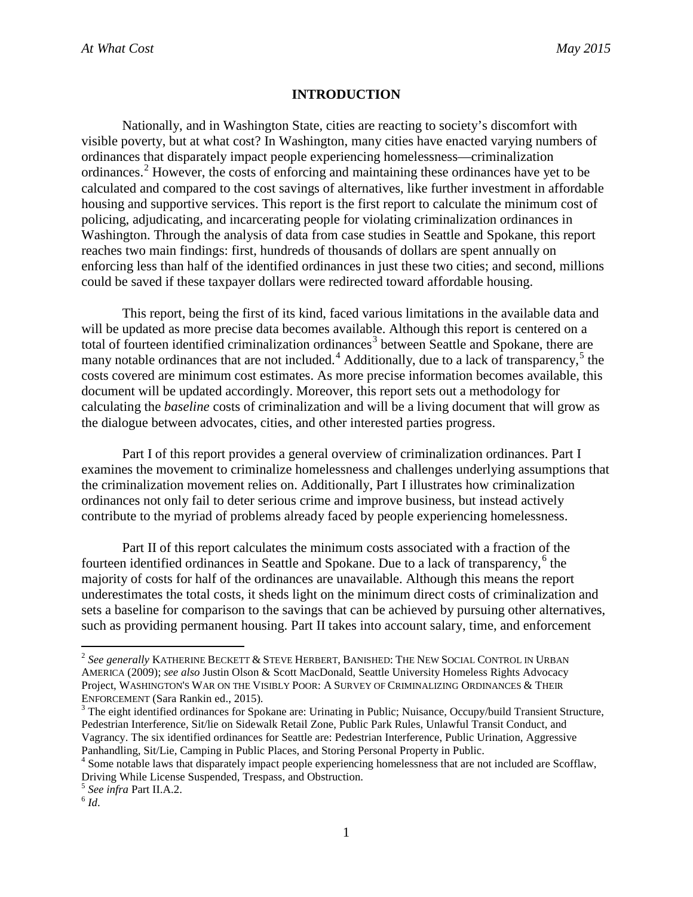#### **INTRODUCTION**

Nationally, and in Washington State, cities are reacting to society's discomfort with visible poverty, but at what cost? In Washington, many cities have enacted varying numbers of ordinances that disparately impact people experiencing homelessness—criminalization ordinances.<sup>[2](#page-5-0)</sup> However, the costs of enforcing and maintaining these ordinances have yet to be calculated and compared to the cost savings of alternatives, like further investment in affordable housing and supportive services. This report is the first report to calculate the minimum cost of policing, adjudicating, and incarcerating people for violating criminalization ordinances in Washington. Through the analysis of data from case studies in Seattle and Spokane, this report reaches two main findings: first, hundreds of thousands of dollars are spent annually on enforcing less than half of the identified ordinances in just these two cities; and second, millions could be saved if these taxpayer dollars were redirected toward affordable housing.

This report, being the first of its kind, faced various limitations in the available data and will be updated as more precise data becomes available. Although this report is centered on a total of fourteen identified criminalization ordinances<sup>[3](#page-5-1)</sup> between Seattle and Spokane, there are many notable ordinances that are not included.<sup>[4](#page-5-2)</sup> Additionally, due to a lack of transparency,<sup>[5](#page-5-3)</sup> the costs covered are minimum cost estimates. As more precise information becomes available, this document will be updated accordingly. Moreover, this report sets out a methodology for calculating the *baseline* costs of criminalization and will be a living document that will grow as the dialogue between advocates, cities, and other interested parties progress.

Part I of this report provides a general overview of criminalization ordinances. Part I examines the movement to criminalize homelessness and challenges underlying assumptions that the criminalization movement relies on. Additionally, Part I illustrates how criminalization ordinances not only fail to deter serious crime and improve business, but instead actively contribute to the myriad of problems already faced by people experiencing homelessness.

Part II of this report calculates the minimum costs associated with a fraction of the fourteen identified ordinances in Seattle and Spokane. Due to a lack of transparency, $6$  the majority of costs for half of the ordinances are unavailable. Although this means the report underestimates the total costs, it sheds light on the minimum direct costs of criminalization and sets a baseline for comparison to the savings that can be achieved by pursuing other alternatives, such as providing permanent housing. Part II takes into account salary, time, and enforcement

<span id="page-5-0"></span> <sup>2</sup> *See generally* KATHERINE BECKETT & STEVE HERBERT, BANISHED: THE NEW SOCIAL CONTROL IN URBAN AMERICA (2009); *see also* Justin Olson & Scott MacDonald, Seattle University Homeless Rights Advocacy Project, WASHINGTON'S WAR ON THE VISIBLY POOR: A SURVEY OF CRIMINALIZING ORDINANCES & THEIR<br>ENFORCEMENT (Sara Rankin ed., 2015).

<span id="page-5-1"></span> $3$  The eight identified ordinances for Spokane are: Urinating in Public; Nuisance, Occupy/build Transient Structure, Pedestrian Interference, Sit/lie on Sidewalk Retail Zone, Public Park Rules, Unlawful Transit Conduct, and Vagrancy. The six identified ordinances for Seattle are: Pedestrian Interference, Public Urination, Aggressive

<span id="page-5-2"></span>Panhandling, Sit/Lie, Camping in Public Places, and Storing Personal Property in Public. <sup>4</sup> Some notable laws that disparately impact people experiencing homelessness that are not included are Scofflaw, Driving While License Suspended, Trespass, and Obstruction.

<span id="page-5-3"></span><sup>5</sup> *See infra* Part II.A.2. <sup>6</sup> *Id*.

<span id="page-5-4"></span>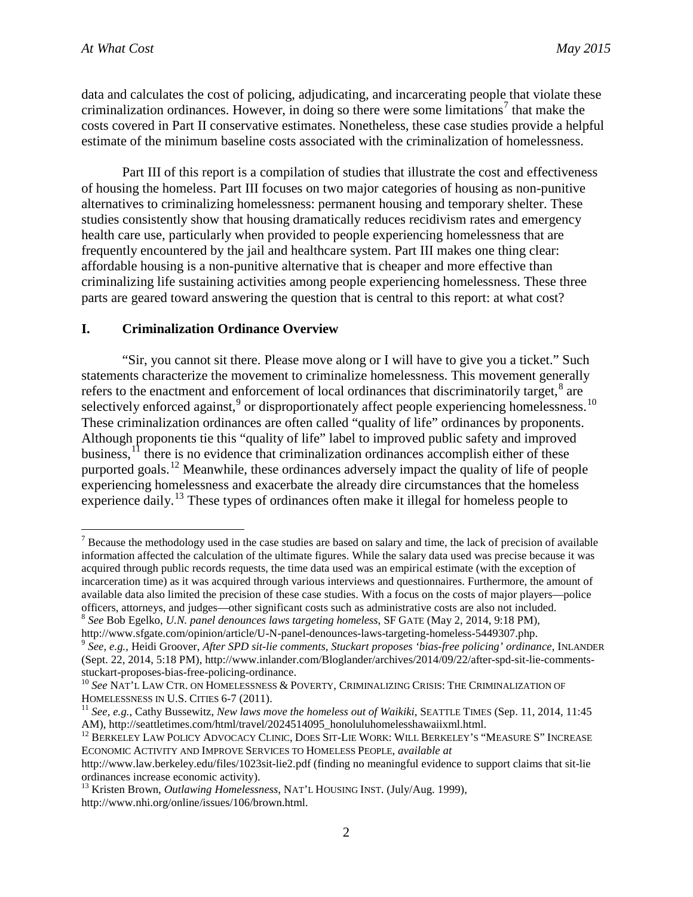data and calculates the cost of policing, adjudicating, and incarcerating people that violate these criminalization ordinances. However, in doing so there were some limitations<sup>[7](#page-6-0)</sup> that make the costs covered in Part II conservative estimates. Nonetheless, these case studies provide a helpful estimate of the minimum baseline costs associated with the criminalization of homelessness.

Part III of this report is a compilation of studies that illustrate the cost and effectiveness of housing the homeless. Part III focuses on two major categories of housing as non-punitive alternatives to criminalizing homelessness: permanent housing and temporary shelter. These studies consistently show that housing dramatically reduces recidivism rates and emergency health care use, particularly when provided to people experiencing homelessness that are frequently encountered by the jail and healthcare system. Part III makes one thing clear: affordable housing is a non-punitive alternative that is cheaper and more effective than criminalizing life sustaining activities among people experiencing homelessness. These three parts are geared toward answering the question that is central to this report: at what cost?

#### **I. Criminalization Ordinance Overview**

"Sir, you cannot sit there. Please move along or I will have to give you a ticket." Such statements characterize the movement to criminalize homelessness. This movement generally refers to the enactment and enforcement of local ordinances that discriminatorily target, $^8$  $^8$  are selectively enforced against,<sup>[9](#page-6-2)</sup> or disproportionately affect people experiencing homelessness.<sup>[10](#page-6-3)</sup> These criminalization ordinances are often called "quality of life" ordinances by proponents. Although proponents tie this "quality of life" label to improved public safety and improved business,<sup>[11](#page-6-4)</sup> there is no evidence that criminalization ordinances accomplish either of these purported goals.<sup>[12](#page-6-5)</sup> Meanwhile, these ordinances adversely impact the quality of life of people experiencing homelessness and exacerbate the already dire circumstances that the homeless experience daily.<sup>[13](#page-6-6)</sup> These types of ordinances often make it illegal for homeless people to

<span id="page-6-0"></span> $<sup>7</sup>$  Because the methodology used in the case studies are based on salary and time, the lack of precision of available</sup> information affected the calculation of the ultimate figures. While the salary data used was precise because it was acquired through public records requests, the time data used was an empirical estimate (with the exception of incarceration time) as it was acquired through various interviews and questionnaires. Furthermore, the amount of available data also limited the precision of these case studies. With a focus on the costs of major players—police officers, attorneys, and judges—other significant costs such as administrative costs are also not included. 8 *See* Bob Egelko, *U.N. panel denounces laws targeting homeless*, SF GATE (May 2, 2014, 9:18 PM),

<span id="page-6-2"></span><span id="page-6-1"></span>http://www.sfgate.com/opinion/article/U-N-panel-denounces-laws-targeting-homeless-5449307.php. <sup>9</sup> *See, e.g.*, Heidi Groover, *After SPD sit-lie comments, Stuckart proposes 'bias-free policing' ordinance*, INLANDER (Sept. 22, 2014, 5:18 PM), http://www.inlander.com/Bloglander/archives/2014/09/22/after-spd-sit-lie-comments-<br>stuckart-proposes-bias-free-policing-ordinance.

<span id="page-6-3"></span><sup>&</sup>lt;sup>10</sup> See NAT'L LAW CTR. ON HOMELESSNESS & POVERTY, CRIMINALIZING CRISIS: THE CRIMINALIZATION OF HOMELESSNESS IN U.S. CITIES 6-7 (2011).

<span id="page-6-4"></span><sup>&</sup>lt;sup>11</sup> See, e.g., Cathy Bussewitz, *New laws move the homeless out of Waikiki*, SEATTLE TIMES (Sep. 11, 2014, 11:45 AM), http://seattletimes.com/html/travel/2024514095\_honoluluhomelesshawaiixml.html.

<span id="page-6-5"></span> $^{12}$  Berkeley Law Policy Advocacy Clinic. Does Sit-Lie Work: Will Berkeley's "Measure S" Increase ECONOMIC ACTIVITY AND IMPROVE SERVICES TO HOMELESS PEOPLE, *available at*

http://www.law.berkeley.edu/files/1023sit-lie2.pdf (finding no meaningful evidence to support claims that sit-lie ordinances increase economic activity).<br><sup>13</sup> Kristen Brown, *Outlawing Homelessness*, NAT'L HOUSING INST. (July/Aug. 1999),

<span id="page-6-6"></span>http://www.nhi.org/online/issues/106/brown.html.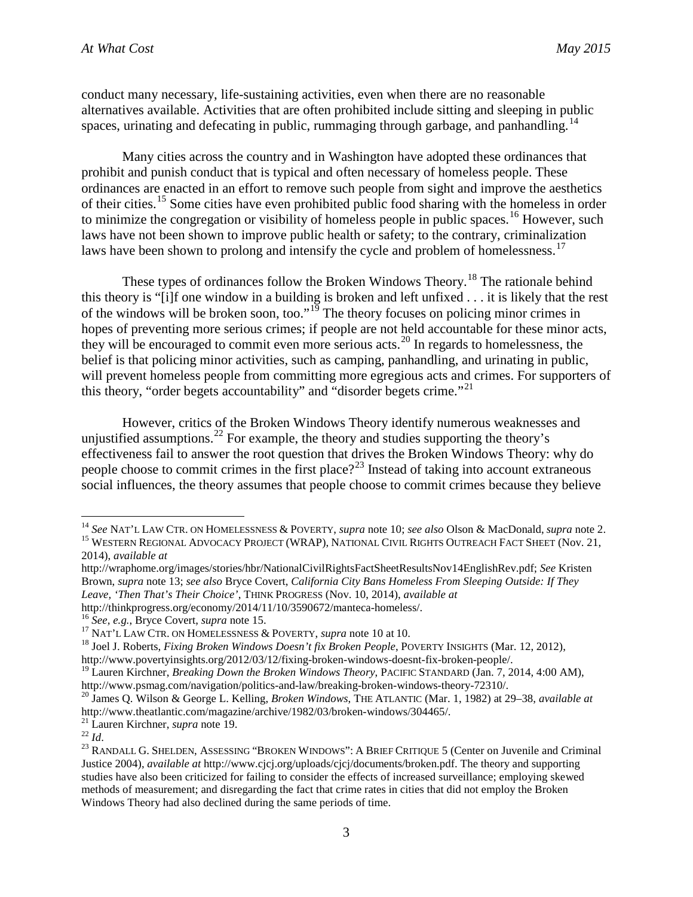conduct many necessary, life-sustaining activities, even when there are no reasonable alternatives available. Activities that are often prohibited include sitting and sleeping in public spaces, urinating and defecating in public, rummaging through garbage, and panhandling.<sup>[14](#page-7-0)</sup>

Many cities across the country and in Washington have adopted these ordinances that prohibit and punish conduct that is typical and often necessary of homeless people. These ordinances are enacted in an effort to remove such people from sight and improve the aesthetics of their cities.<sup>[15](#page-7-1)</sup> Some cities have even prohibited public food sharing with the homeless in order to minimize the congregation or visibility of homeless people in public spaces.<sup>[16](#page-7-2)</sup> However, such laws have not been shown to improve public health or safety; to the contrary, criminalization laws have been shown to prolong and intensify the cycle and problem of homelessness.<sup>[17](#page-7-3)</sup>

These types of ordinances follow the Broken Windows Theory.<sup>[18](#page-7-4)</sup> The rationale behind this theory is "[i]f one window in a building is broken and left unfixed . . . it is likely that the rest of the windows will be broken soon, too."<sup>[19](#page-7-5)</sup> The theory focuses on policing minor crimes in hopes of preventing more serious crimes; if people are not held accountable for these minor acts, they will be encouraged to commit even more serious acts.[20](#page-7-6) In regards to homelessness, the belief is that policing minor activities, such as camping, panhandling, and urinating in public, will prevent homeless people from committing more egregious acts and crimes. For supporters of this theory, "order begets accountability" and "disorder begets crime."<sup>[21](#page-7-7)</sup>

However, critics of the Broken Windows Theory identify numerous weaknesses and unjustified assumptions.<sup>[22](#page-7-8)</sup> For example, the theory and studies supporting the theory's effectiveness fail to answer the root question that drives the Broken Windows Theory: why do people choose to commit crimes in the first place?<sup>[23](#page-7-9)</sup> Instead of taking into account extraneous social influences, the theory assumes that people choose to commit crimes because they believe

<span id="page-7-7"></span>

<span id="page-7-1"></span><span id="page-7-0"></span><sup>&</sup>lt;sup>14</sup> See NAT'L LAW CTR. ON HOMELESSNESS & POVERTY, *supra* note 10; *see also* Olson & MacDonald, *supra* note 2.<br><sup>15</sup> WESTERN REGIONAL ADVOCACY PROJECT (WRAP), NATIONAL CIVIL RIGHTS OUTREACH FACT SHEET (Nov. 21, 2014), *available at*

http://wraphome.org/images/stories/hbr/NationalCivilRightsFactSheetResultsNov14EnglishRev.pdf; *See* Kristen Brown, *supra* note 13; *see also* Bryce Covert, *California City Bans Homeless From Sleeping Outside: If They Leave, 'Then That's Their Choice'*, THINK PROGRESS (Nov. 10, 2014), *available at* 

<span id="page-7-3"></span>

<span id="page-7-2"></span>http://thinkprogress.org/economy/2014/11/10/3590672/manteca-homeless/.<br><sup>16</sup> See, e.g., Bryce Covert, *supra* note 15.<br><sup>17</sup> NAT'L LAW CTR. ON HOMELESSNESS & POVERTY, *supra* note 10 at 10.<br><sup>18</sup> Joel J. Roberts, *Fixing Brok* 

<span id="page-7-5"></span><span id="page-7-4"></span>http://www.povertyinsights.org/2012/03/12/fixing-broken-windows-doesnt-fix-broken-people/.<br><sup>19</sup> Lauren Kirchner, *Breaking Down the Broken Windows Theory*, PACIFIC STANDARD (Jan. 7, 2014, 4:00 AM),<br>http://www.psmag.com/nav

<span id="page-7-6"></span><sup>&</sup>lt;sup>20</sup> James Q. Wilson & George L. Kelling, *Broken Windows*, THE ATLANTIC (Mar. 1, 1982) at 29–38, *available at* http://www.theatlantic.com/magazine/archive/1982/03/broken-windows/304465/.<br><sup>21</sup> Lauren Kirchner, *supra* note 19.<br><sup>22</sup> Id.<br><sup>23</sup> RANDALL G. SHELDEN, ASSESSING "BROKEN WINDOWS": A BRIEF CRITIQUE 5 (Center on Juvenile and Cr

<span id="page-7-9"></span><span id="page-7-8"></span>Justice 2004), *available at* http://www.cjcj.org/uploads/cjcj/documents/broken.pdf. The theory and supporting studies have also been criticized for failing to consider the effects of increased surveillance; employing skewed methods of measurement; and disregarding the fact that crime rates in cities that did not employ the Broken Windows Theory had also declined during the same periods of time.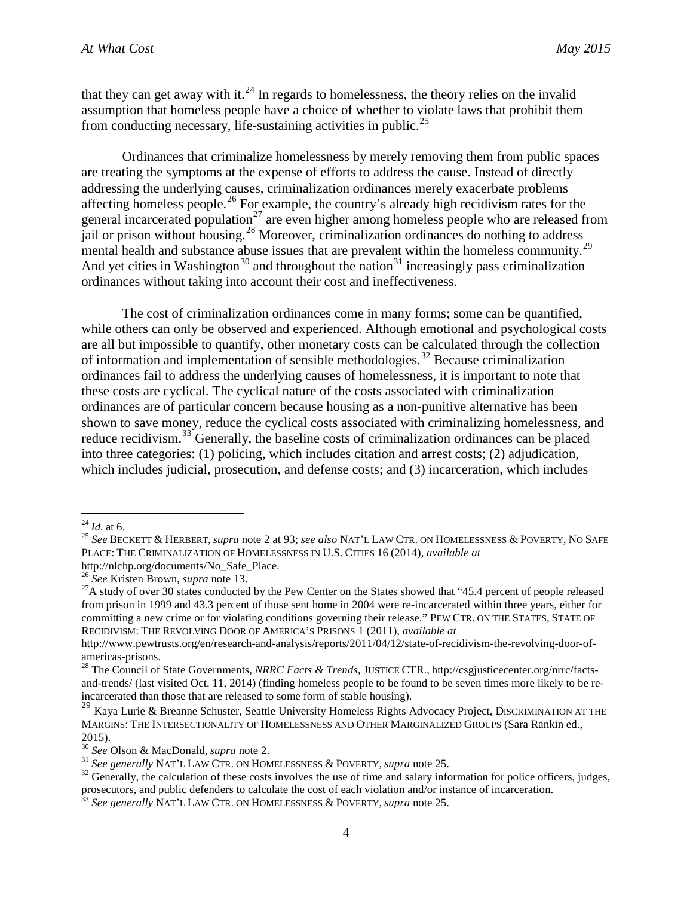that they can get away with it.<sup>[24](#page-8-0)</sup> In regards to homelessness, the theory relies on the invalid assumption that homeless people have a choice of whether to violate laws that prohibit them from conducting necessary, life-sustaining activities in public.<sup>[25](#page-8-1)</sup>

Ordinances that criminalize homelessness by merely removing them from public spaces are treating the symptoms at the expense of efforts to address the cause. Instead of directly addressing the underlying causes, criminalization ordinances merely exacerbate problems affecting homeless people.<sup>[26](#page-8-2)</sup> For example, the country's already high recidivism rates for the general incarcerated population<sup>[27](#page-8-3)</sup> are even higher among homeless people who are released from jail or prison without housing.<sup>[28](#page-8-4)</sup> Moreover, criminalization ordinances do nothing to address mental health and substance abuse issues that are prevalent within the homeless community.<sup>[29](#page-8-5)</sup> And yet cities in Washington<sup>[30](#page-8-6)</sup> and throughout the nation<sup>[31](#page-8-7)</sup> increasingly pass criminalization ordinances without taking into account their cost and ineffectiveness.

The cost of criminalization ordinances come in many forms; some can be quantified, while others can only be observed and experienced. Although emotional and psychological costs are all but impossible to quantify, other monetary costs can be calculated through the collection of information and implementation of sensible methodologies.<sup>[32](#page-8-8)</sup> Because criminalization ordinances fail to address the underlying causes of homelessness, it is important to note that these costs are cyclical. The cyclical nature of the costs associated with criminalization ordinances are of particular concern because housing as a non-punitive alternative has been shown to save money, reduce the cyclical costs associated with criminalizing homelessness, and reduce recidivism.<sup>[33](#page-8-9)</sup> Generally, the baseline costs of criminalization ordinances can be placed into three categories: (1) policing, which includes citation and arrest costs; (2) adjudication, which includes judicial, prosecution, and defense costs; and (3) incarceration, which includes

<span id="page-8-1"></span><span id="page-8-0"></span><sup>24</sup> *Id.* at 6. <sup>25</sup> *See* BECKETT & HERBERT, *supra* note 2 at 93; *see also* NAT'L LAW CTR. ON HOMELESSNESS & POVERTY, NO SAFE PLACE: THE CRIMINALIZATION OF HOMELESSNESS IN U.S. CITIES 16 (2014), *available at*

<span id="page-8-3"></span>

<span id="page-8-2"></span>http://nlchp.org/documents/No\_Safe\_Place.<br><sup>26</sup> *See* Kristen Brown, *supra* note 13.<br><sup>27</sup>A study of over 30 states conducted by the Pew Center on the States showed that "45.4 percent of people released from prison in 1999 and 43.3 percent of those sent home in 2004 were re-incarcerated within three years, either for committing a new crime or for violating conditions governing their release." PEW CTR. ON THE STATES, STATE OF RECIDIVISM: THE REVOLVING DOOR OF AMERICA'S PRISONS 1 (2011), *available at*

http://www.pewtrusts.org/en/research-and-analysis/reports/2011/04/12/state-of-recidivism-the-revolving-door-ofamericas-prisons.<br><sup>28</sup> The Council of State Governments, *NRRC Facts & Trends*, JUSTICE CTR., http://csgjusticecenter.org/nrrc/facts-

<span id="page-8-4"></span>and-trends/ (last visited Oct. 11, 2014) (finding homeless people to be found to be seven times more likely to be reincarcerated than those that are released to some form of stable housing).

<span id="page-8-5"></span><sup>&</sup>lt;sup>29</sup> Kaya Lurie & Breanne Schuster, Seattle University Homeless Rights Advocacy Project, DISCRIMINATION AT THE MARGINS: THE INTERSECTIONALITY OF HOMELESSNESS AND OTHER MARGINALIZED GROUPS (Sara Rankin ed.,

<sup>2015).&</sup>lt;br><sup>30</sup> See Olson & MacDonald, *supra* note 2.

<span id="page-8-8"></span><span id="page-8-7"></span><span id="page-8-6"></span><sup>&</sup>lt;sup>31</sup> See generally NAT'L LAW CTR. ON HOMELESSNESS & POVERTY, *supra* note 25.<br><sup>32</sup> Generally, the calculation of these costs involves the use of time and salary information for police officers, judges, prosecutors, and public defenders to calculate the cost of each violation and/or instance of incarceration.<br><sup>33</sup> *See generally* NAT'L LAW CTR. ON HOMELESSNESS & POVERTY, *supra* note 25.

<span id="page-8-9"></span>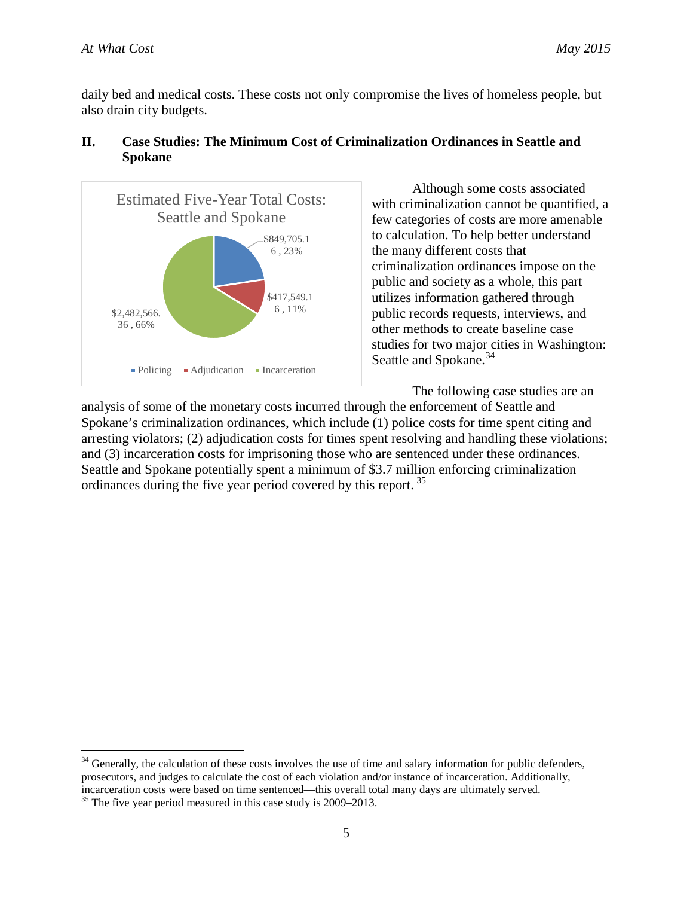daily bed and medical costs. These costs not only compromise the lives of homeless people, but also drain city budgets.



# **II. Case Studies: The Minimum Cost of Criminalization Ordinances in Seattle and Spokane**

Although some costs associated with criminalization cannot be quantified, a few categories of costs are more amenable to calculation. To help better understand the many different costs that criminalization ordinances impose on the public and society as a whole, this part utilizes information gathered through public records requests, interviews, and other methods to create baseline case studies for two major cities in Washington: Seattle and Spokane.<sup>[34](#page-9-0)</sup>

The following case studies are an

analysis of some of the monetary costs incurred through the enforcement of Seattle and Spokane's criminalization ordinances, which include (1) police costs for time spent citing and arresting violators; (2) adjudication costs for times spent resolving and handling these violations; and (3) incarceration costs for imprisoning those who are sentenced under these ordinances. Seattle and Spokane potentially spent a minimum of \$3.7 million enforcing criminalization ordinances during the five year period covered by this report.<sup>[35](#page-9-1)</sup>

<span id="page-9-0"></span> $34$  Generally, the calculation of these costs involves the use of time and salary information for public defenders, prosecutors, and judges to calculate the cost of each violation and/or instance of incarceration. Additionally, incarceration costs were based on time sentenced—this overall total many days are ultimately served. <sup>35</sup> The five year period measured in this case study is 2009–2013.

<span id="page-9-1"></span>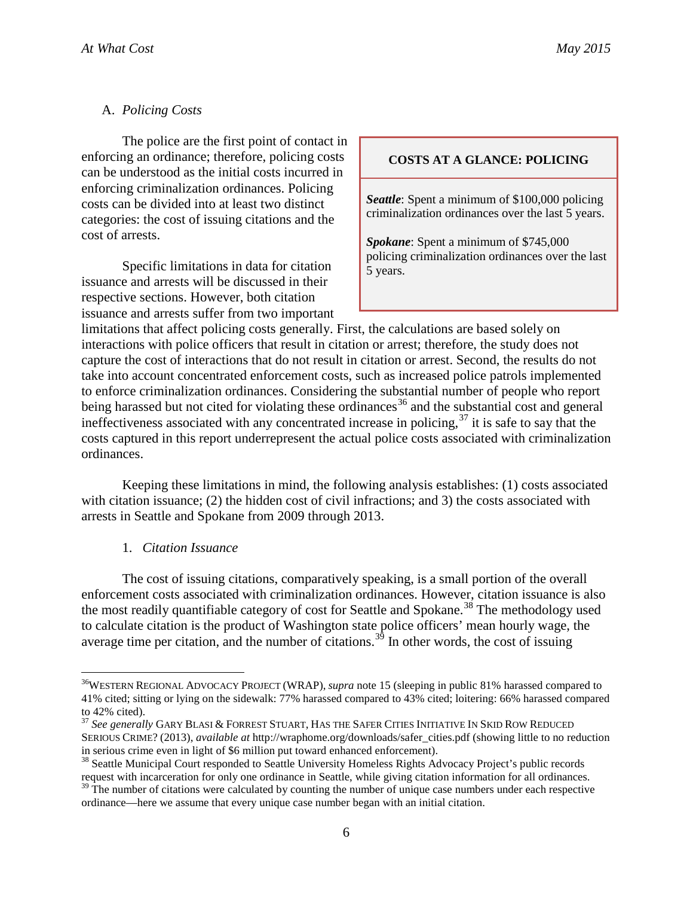# A. *Policing Costs*

The police are the first point of contact in enforcing an ordinance; therefore, policing costs can be understood as the initial costs incurred in enforcing criminalization ordinances. Policing costs can be divided into at least two distinct categories: the cost of issuing citations and the cost of arrests.

Specific limitations in data for citation issuance and arrests will be discussed in their respective sections. However, both citation issuance and arrests suffer from two important

#### **COSTS AT A GLANCE: POLICING**

*Seattle*: Spent a minimum of \$100,000 policing criminalization ordinances over the last 5 years.

*Spokane*: Spent a minimum of \$745,000 policing criminalization ordinances over the last 5 years.

limitations that affect policing costs generally. First, the calculations are based solely on interactions with police officers that result in citation or arrest; therefore, the study does not capture the cost of interactions that do not result in citation or arrest. Second, the results do not take into account concentrated enforcement costs, such as increased police patrols implemented to enforce criminalization ordinances. Considering the substantial number of people who report being harassed but not cited for violating these ordinances<sup>[36](#page-10-0)</sup> and the substantial cost and general ineffectiveness associated with any concentrated increase in policing,<sup>[37](#page-10-1)</sup> it is safe to say that the costs captured in this report underrepresent the actual police costs associated with criminalization ordinances.

Keeping these limitations in mind, the following analysis establishes: (1) costs associated with citation issuance; (2) the hidden cost of civil infractions; and 3) the costs associated with arrests in Seattle and Spokane from 2009 through 2013.

#### 1. *Citation Issuance*

The cost of issuing citations, comparatively speaking, is a small portion of the overall enforcement costs associated with criminalization ordinances. However, citation issuance is also the most readily quantifiable category of cost for Seattle and Spokane.<sup>[38](#page-10-2)</sup> The methodology used to calculate citation is the product of Washington state police officers' mean hourly wage, the average time per citation, and the number of citations.<sup>[39](#page-10-3)</sup> In other words, the cost of issuing

<span id="page-10-0"></span> <sup>36</sup>WESTERN REGIONAL ADVOCACY PROJECT (WRAP), *supra* note 15 (sleeping in public 81% harassed compared to 41% cited; sitting or lying on the sidewalk: 77% harassed compared to 43% cited; loitering: 66% harassed compared to 42% cited).

<span id="page-10-1"></span><sup>37</sup> *See generally* GARY BLASI & FORREST STUART, HAS THE SAFER CITIES INITIATIVE IN SKID ROW REDUCED SERIOUS CRIME? (2013), *available at* http://wraphome.org/downloads/safer\_cities.pdf (showing little to no reduction in serious crime even in light of \$6 million put toward enhanced enforcement).<br><sup>38</sup> Seattle Municipal Court responded to Seattle University Homeless Rights Advocacy Project's public records

<span id="page-10-2"></span>request with incarceration for only one ordinance in Seattle, while giving citation information for all ordinances.

<span id="page-10-3"></span> $39$  The number of citations were calculated by counting the number of unique case numbers under each respective ordinance—here we assume that every unique case number began with an initial citation.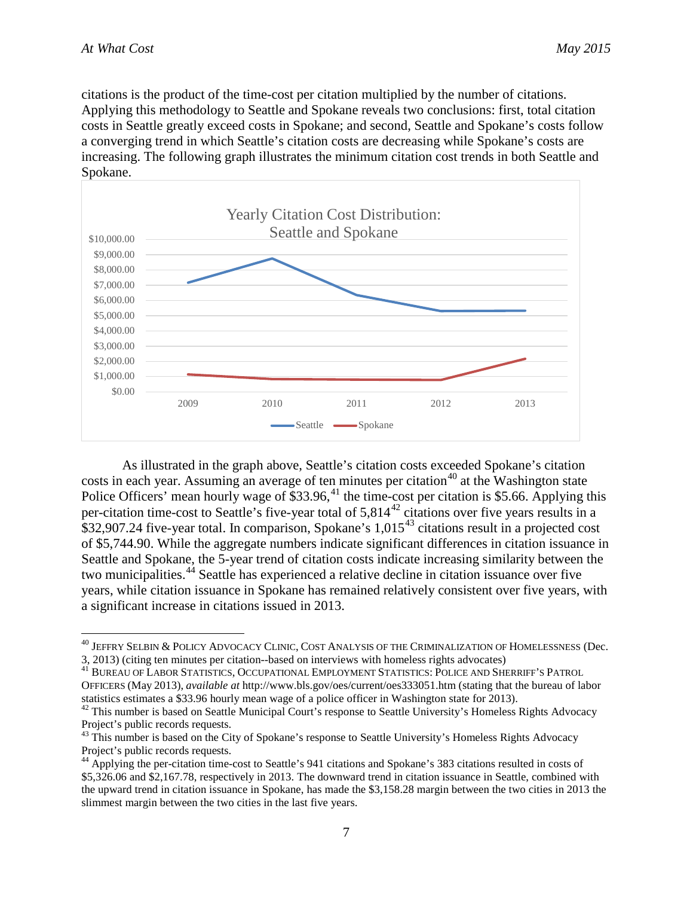citations is the product of the time-cost per citation multiplied by the number of citations. Applying this methodology to Seattle and Spokane reveals two conclusions: first, total citation costs in Seattle greatly exceed costs in Spokane; and second, Seattle and Spokane's costs follow a converging trend in which Seattle's citation costs are decreasing while Spokane's costs are increasing. The following graph illustrates the minimum citation cost trends in both Seattle and Spokane.



As illustrated in the graph above, Seattle's citation costs exceeded Spokane's citation costs in each year. Assuming an average of ten minutes per citation<sup>[40](#page-11-0)</sup> at the Washington state Police Officers' mean hourly wage of \$33.96,<sup>[41](#page-11-1)</sup> the time-cost per citation is \$5.66. Applying this per-citation time-cost to Seattle's five-year total of 5,814[42](#page-11-2) citations over five years results in a \$32,907.24 five-year total. In comparison, Spokane's 1,015<sup>[43](#page-11-3)</sup> citations result in a projected cost of \$5,744.90. While the aggregate numbers indicate significant differences in citation issuance in Seattle and Spokane, the 5-year trend of citation costs indicate increasing similarity between the two municipalities.<sup>[44](#page-11-4)</sup> Seattle has experienced a relative decline in citation issuance over five years, while citation issuance in Spokane has remained relatively consistent over five years, with a significant increase in citations issued in 2013.

<span id="page-11-0"></span><sup>&</sup>lt;sup>40</sup> JEFFRY SELBIN & POLICY ADVOCACY CLINIC, COST ANALYSIS OF THE CRIMINALIZATION OF HOMELESSNESS (Dec. 3, 2013) (citing ten minutes per citation-based on interviews with homeless rights advocates)

<span id="page-11-1"></span><sup>&</sup>lt;sup>41</sup> BUREAU OF LABOR STATISTICS, OCCUPATIONAL EMPLOYMENT STATISTICS: POLICE AND SHERRIFF'S PATROL OFFICERS (May 2013), *available at* http://www.bls.gov/oes/current/oes333051.htm (stating that the bureau of labor statistics estimates a \$33.96 hourly mean wage of a police officer in Washington state for 2013).<br><sup>42</sup> This number is based on Seattle Municipal Court's response to Seattle University's Homeless Rights Advocacy

<span id="page-11-2"></span>Project's public records requests.

<span id="page-11-3"></span><sup>&</sup>lt;sup>43</sup> This number is based on the City of Spokane's response to Seattle University's Homeless Rights Advocacy Project's public records requests.

<span id="page-11-4"></span><sup>&</sup>lt;sup>44</sup> Applying the per-citation time-cost to Seattle's 941 citations and Spokane's 383 citations resulted in costs of \$5,326.06 and \$2,167.78, respectively in 2013. The downward trend in citation issuance in Seattle, combined with the upward trend in citation issuance in Spokane, has made the \$3,158.28 margin between the two cities in 2013 the slimmest margin between the two cities in the last five years.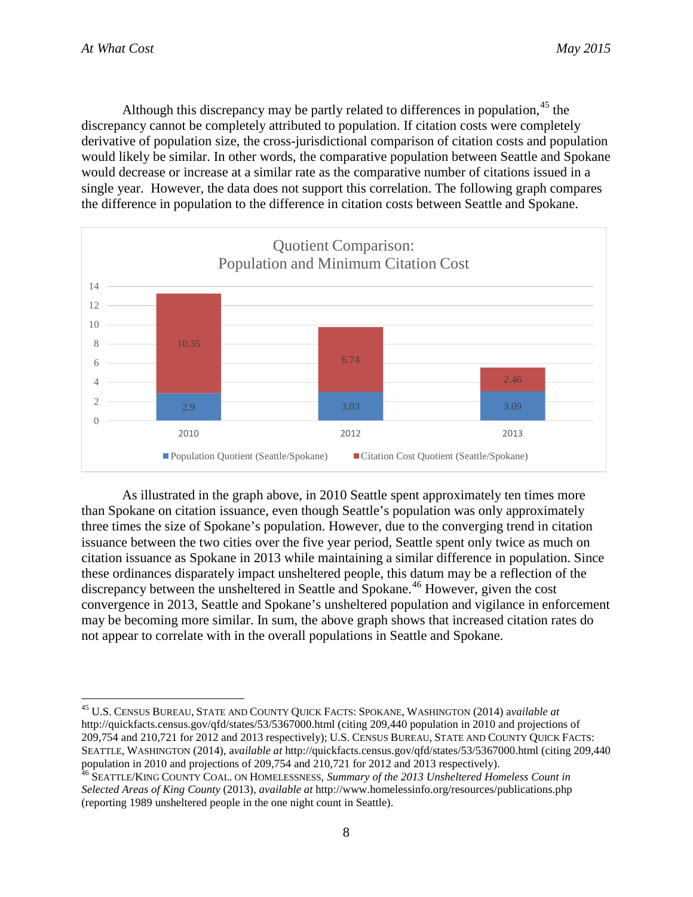Although this discrepancy may be partly related to differences in population,<sup>[45](#page-12-0)</sup> the discrepancy cannot be completely attributed to population. If citation costs were completely derivative of population size, the cross-jurisdictional comparison of citation costs and population would likely be similar. In other words, the comparative population between Seattle and Spokane would decrease or increase at a similar rate as the comparative number of citations issued in a single year. However, the data does not support this correlation. The following graph compares the difference in population to the difference in citation costs between Seattle and Spokane.



As illustrated in the graph above, in 2010 Seattle spent approximately ten times more than Spokane on citation issuance, even though Seattle's population was only approximately three times the size of Spokane's population. However, due to the converging trend in citation issuance between the two cities over the five year period, Seattle spent only twice as much on citation issuance as Spokane in 2013 while maintaining a similar difference in population. Since these ordinances disparately impact unsheltered people, this datum may be a reflection of the discrepancy between the unsheltered in Seattle and Spokane.<sup>[46](#page-12-1)</sup> However, given the cost convergence in 2013, Seattle and Spokane's unsheltered population and vigilance in enforcement may be becoming more similar. In sum, the above graph shows that increased citation rates do not appear to correlate with in the overall populations in Seattle and Spokane.

<span id="page-12-0"></span> <sup>45</sup> U.S. CENSUS BUREAU, STATE AND COUNTY QUICK FACTS: SPOKANE, WASHINGTON (2014) a*vailable at* http://quickfacts.census.gov/qfd/states/53/5367000.html (citing 209,440 population in 2010 and projections of 209,754 and 210,721 for 2012 and 2013 respectively); U.S. CENSUS BUREAU, STATE AND COUNTY QUICK FACTS: SEATTLE, WASHINGTON (2014), a*vailable at* http://quickfacts.census.gov/qfd/states/53/5367000.html (citing 209,440 population in 2010 and projections of 209,754 and 210,721 for 2012 and 2013 respectively).

<span id="page-12-1"></span><sup>46</sup> SEATTLE/KING COUNTY COAL. ON HOMELESSNESS*, Summary of the 2013 Unsheltered Homeless Count in Selected Areas of King County* (2013), *available at* http://www.homelessinfo.org/resources/publications.php (reporting 1989 unsheltered people in the one night count in Seattle).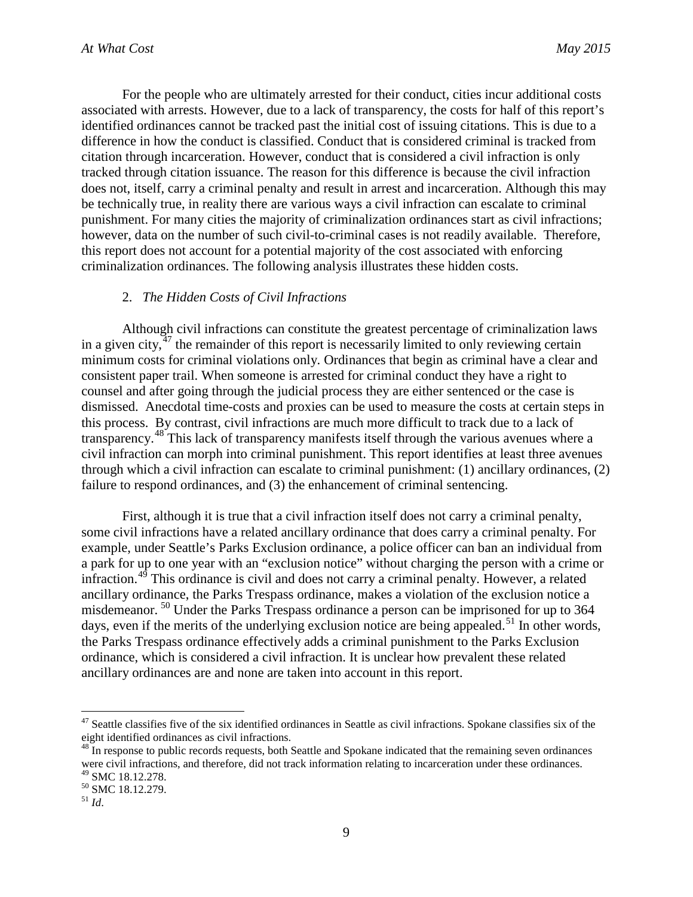For the people who are ultimately arrested for their conduct, cities incur additional costs associated with arrests. However, due to a lack of transparency, the costs for half of this report's identified ordinances cannot be tracked past the initial cost of issuing citations. This is due to a difference in how the conduct is classified. Conduct that is considered criminal is tracked from citation through incarceration. However, conduct that is considered a civil infraction is only tracked through citation issuance. The reason for this difference is because the civil infraction does not, itself, carry a criminal penalty and result in arrest and incarceration. Although this may be technically true, in reality there are various ways a civil infraction can escalate to criminal punishment. For many cities the majority of criminalization ordinances start as civil infractions; however, data on the number of such civil-to-criminal cases is not readily available. Therefore, this report does not account for a potential majority of the cost associated with enforcing criminalization ordinances. The following analysis illustrates these hidden costs.

#### 2. *The Hidden Costs of Civil Infractions*

Although civil infractions can constitute the greatest percentage of criminalization laws in a given city, $47$  the remainder of this report is necessarily limited to only reviewing certain minimum costs for criminal violations only. Ordinances that begin as criminal have a clear and consistent paper trail. When someone is arrested for criminal conduct they have a right to counsel and after going through the judicial process they are either sentenced or the case is dismissed. Anecdotal time-costs and proxies can be used to measure the costs at certain steps in this process. By contrast, civil infractions are much more difficult to track due to a lack of transparency.[48](#page-13-1) This lack of transparency manifests itself through the various avenues where a civil infraction can morph into criminal punishment. This report identifies at least three avenues through which a civil infraction can escalate to criminal punishment: (1) ancillary ordinances, (2) failure to respond ordinances, and (3) the enhancement of criminal sentencing.

First, although it is true that a civil infraction itself does not carry a criminal penalty, some civil infractions have a related ancillary ordinance that does carry a criminal penalty. For example, under Seattle's Parks Exclusion ordinance, a police officer can ban an individual from a park for up to one year with an "exclusion notice" without charging the person with a crime or infraction.<sup>[49](#page-13-2)</sup> This ordinance is civil and does not carry a criminal penalty. However, a related ancillary ordinance, the Parks Trespass ordinance, makes a violation of the exclusion notice a misdemeanor.<sup>[50](#page-13-3)</sup> Under the Parks Trespass ordinance a person can be imprisoned for up to 364 days, even if the merits of the underlying exclusion notice are being appealed.<sup>[51](#page-13-4)</sup> In other words, the Parks Trespass ordinance effectively adds a criminal punishment to the Parks Exclusion ordinance, which is considered a civil infraction. It is unclear how prevalent these related ancillary ordinances are and none are taken into account in this report.

<span id="page-13-0"></span> $47$  Seattle classifies five of the six identified ordinances in Seattle as civil infractions. Spokane classifies six of the eight identified ordinances as civil infractions.<br><sup>48</sup> In response to public records requests, both Seattle and Spokane indicated that the remaining seven ordinances

<span id="page-13-1"></span>were civil infractions, and therefore, did not track information relating to incarceration under these ordinances.<br><sup>49</sup> SMC 18.12.278.

<span id="page-13-3"></span><span id="page-13-2"></span><sup>49</sup> SMC 18.12.278. <sup>50</sup> SMC 18.12.279. <sup>51</sup> *Id*.

<span id="page-13-4"></span>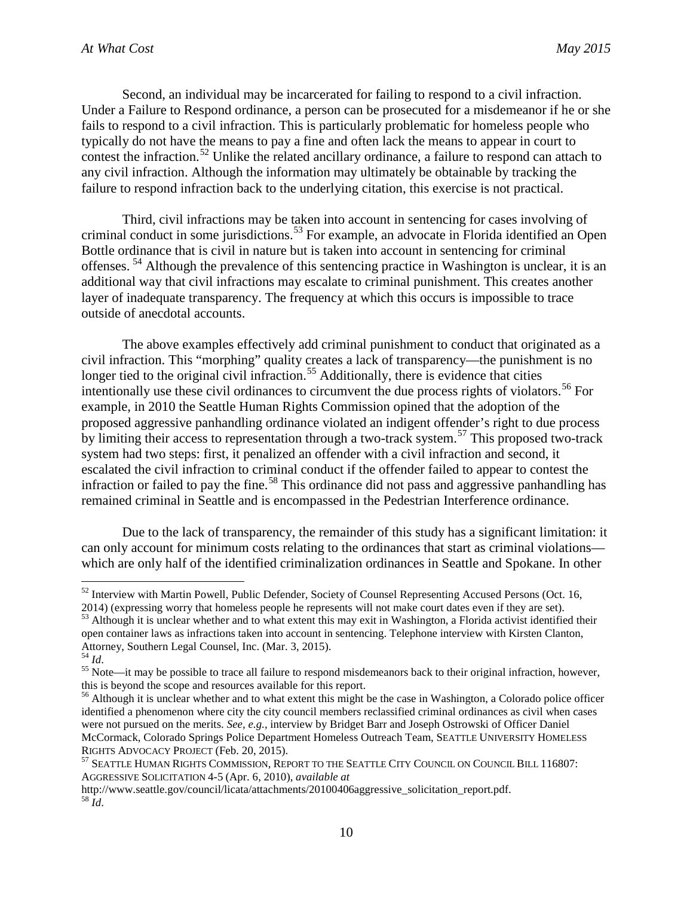Second, an individual may be incarcerated for failing to respond to a civil infraction. Under a Failure to Respond ordinance, a person can be prosecuted for a misdemeanor if he or she fails to respond to a civil infraction. This is particularly problematic for homeless people who typically do not have the means to pay a fine and often lack the means to appear in court to contest the infraction.<sup>[52](#page-14-0)</sup> Unlike the related ancillary ordinance, a failure to respond can attach to any civil infraction. Although the information may ultimately be obtainable by tracking the failure to respond infraction back to the underlying citation, this exercise is not practical.

Third, civil infractions may be taken into account in sentencing for cases involving of criminal conduct in some jurisdictions. [53](#page-14-1) For example, an advocate in Florida identified an Open Bottle ordinance that is civil in nature but is taken into account in sentencing for criminal offenses. [54](#page-14-2) Although the prevalence of this sentencing practice in Washington is unclear, it is an additional way that civil infractions may escalate to criminal punishment. This creates another layer of inadequate transparency. The frequency at which this occurs is impossible to trace outside of anecdotal accounts.

The above examples effectively add criminal punishment to conduct that originated as a civil infraction. This "morphing" quality creates a lack of transparency—the punishment is no longer tied to the original civil infraction.<sup>[55](#page-14-3)</sup> Additionally, there is evidence that cities intentionally use these civil ordinances to circumvent the due process rights of violators. [56](#page-14-4) For example, in 2010 the Seattle Human Rights Commission opined that the adoption of the proposed aggressive panhandling ordinance violated an indigent offender's right to due process by limiting their access to representation through a two-track system.<sup>[57](#page-14-5)</sup> This proposed two-track system had two steps: first, it penalized an offender with a civil infraction and second, it escalated the civil infraction to criminal conduct if the offender failed to appear to contest the infraction or failed to pay the fine.<sup>[58](#page-14-6)</sup> This ordinance did not pass and aggressive panhandling has remained criminal in Seattle and is encompassed in the Pedestrian Interference ordinance.

Due to the lack of transparency, the remainder of this study has a significant limitation: it can only account for minimum costs relating to the ordinances that start as criminal violations which are only half of the identified criminalization ordinances in Seattle and Spokane. In other

<span id="page-14-0"></span><sup>52</sup> Interview with Martin Powell, Public Defender, Society of Counsel Representing Accused Persons (Oct. 16,

<span id="page-14-1"></span><sup>2014) (</sup>expressing worry that homeless people he represents will not make court dates even if they are set).  $53$  Although it is unclear whether and to what extent this may exit in Washington, a Florida activist identified their open container laws as infractions taken into account in sentencing. Telephone interview with Kirsten Clanton, Attorney, Southern Legal Counsel, Inc. (Mar. 3, 2015).<br><sup>54</sup> Id.

<span id="page-14-2"></span>

<span id="page-14-3"></span><sup>&</sup>lt;sup>55</sup> Note—it may be possible to trace all failure to respond misdemeanors back to their original infraction, however, this is beyond the scope and resources available for this report.

<span id="page-14-4"></span><sup>&</sup>lt;sup>56</sup> Although it is unclear whether and to what extent this might be the case in Washington, a Colorado police officer identified a phenomenon where city the city council members reclassified criminal ordinances as civil when cases were not pursued on the merits. *See, e.g.*, interview by Bridget Barr and Joseph Ostrowski of Officer Daniel McCormack, Colorado Springs Police Department Homeless Outreach Team, SEATTLE UNIVERSITY HOMELESS RIGHTS ADVOCACY PROJECT (Feb. 20, 2015).<br><sup>57</sup> SEATTLE HUMAN RIGHTS COMMISSION, REPORT TO THE SEATTLE CITY COUNCIL ON COUNCIL BILL 116807:

<span id="page-14-5"></span>AGGRESSIVE SOLICITATION 4-5 (Apr. 6, 2010), *available at*

<span id="page-14-6"></span>http://www.seattle.gov/council/licata/attachments/20100406aggressive\_solicitation\_report.pdf. <sup>58</sup> *Id*.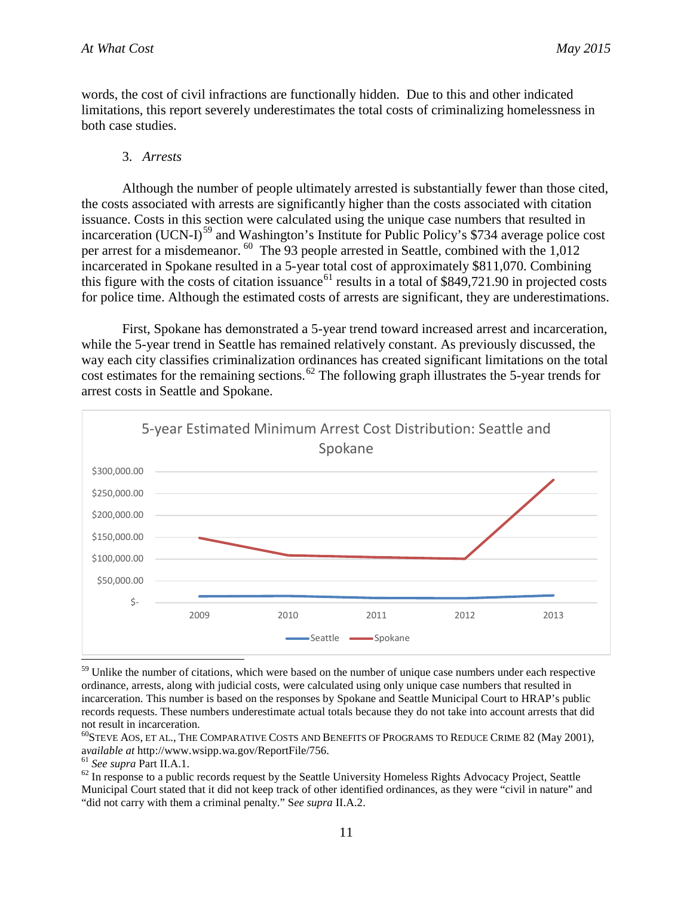words, the cost of civil infractions are functionally hidden. Due to this and other indicated limitations, this report severely underestimates the total costs of criminalizing homelessness in both case studies.

#### 3. *Arrests*

Although the number of people ultimately arrested is substantially fewer than those cited, the costs associated with arrests are significantly higher than the costs associated with citation issuance. Costs in this section were calculated using the unique case numbers that resulted in incarceration (UCN-I)<sup>[59](#page-15-0)</sup> and Washington's Institute for Public Policy's \$734 average police cost per arrest for a misdemeanor. [60](#page-15-1) The 93 people arrested in Seattle, combined with the 1,012 incarcerated in Spokane resulted in a 5-year total cost of approximately \$811,070. Combining this figure with the costs of citation issuance<sup>[61](#page-15-2)</sup> results in a total of  $$849,721.90$  in projected costs for police time. Although the estimated costs of arrests are significant, they are underestimations.

First, Spokane has demonstrated a 5-year trend toward increased arrest and incarceration, while the 5-year trend in Seattle has remained relatively constant. As previously discussed, the way each city classifies criminalization ordinances has created significant limitations on the total cost estimates for the remaining sections.<sup>[62](#page-15-3)</sup> The following graph illustrates the 5-year trends for arrest costs in Seattle and Spokane.



<span id="page-15-0"></span><sup>59</sup> Unlike the number of citations, which were based on the number of unique case numbers under each respective ordinance, arrests, along with judicial costs, were calculated using only unique case numbers that resulted in incarceration. This number is based on the responses by Spokane and Seattle Municipal Court to HRAP's public records requests. These numbers underestimate actual totals because they do not take into account arrests that did not result in incarceration.

<span id="page-15-1"></span><sup>60</sup>STEVE AOS, ET AL., THE COMPARATIVE COSTS AND BENEFITS OF PROGRAMS TO REDUCE CRIME 82 (May 2001), available at http://www.wsipp.wa.gov/ReportFile/756.<br><sup>61</sup> See supra Part II.A.1.

<span id="page-15-3"></span><span id="page-15-2"></span>

<sup>62</sup> In response to a public records request by the Seattle University Homeless Rights Advocacy Project, Seattle Municipal Court stated that it did not keep track of other identified ordinances, as they were "civil in nature" and "did not carry with them a criminal penalty." S*ee supra* II.A.2.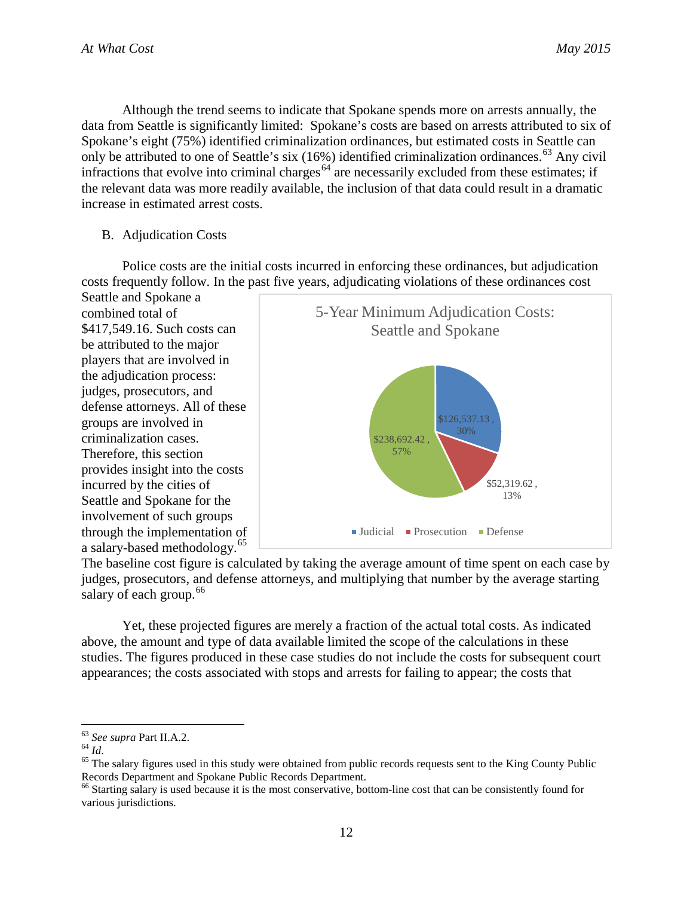Although the trend seems to indicate that Spokane spends more on arrests annually, the data from Seattle is significantly limited: Spokane's costs are based on arrests attributed to six of Spokane's eight (75%) identified criminalization ordinances, but estimated costs in Seattle can only be attributed to one of Seattle's six  $(16%)$  identified criminalization ordinances.<sup>[63](#page-16-0)</sup> Any civil infractions that evolve into criminal charges<sup> $64$ </sup> are necessarily excluded from these estimates; if the relevant data was more readily available, the inclusion of that data could result in a dramatic increase in estimated arrest costs.

#### B. Adjudication Costs

Police costs are the initial costs incurred in enforcing these ordinances, but adjudication costs frequently follow. In the past five years, adjudicating violations of these ordinances cost

Seattle and Spokane a combined total of \$417,549.16. Such costs can be attributed to the major players that are involved in the adjudication process: judges, prosecutors, and defense attorneys. All of these groups are involved in criminalization cases. Therefore, this section provides insight into the costs incurred by the cities of Seattle and Spokane for the involvement of such groups through the implementation of a salary-based methodology.[65](#page-16-2)



The baseline cost figure is calculated by taking the average amount of time spent on each case by judges, prosecutors, and defense attorneys, and multiplying that number by the average starting salary of each group. $66$ 

Yet, these projected figures are merely a fraction of the actual total costs. As indicated above, the amount and type of data available limited the scope of the calculations in these studies. The figures produced in these case studies do not include the costs for subsequent court appearances; the costs associated with stops and arrests for failing to appear; the costs that

<span id="page-16-2"></span>

<span id="page-16-1"></span><span id="page-16-0"></span><sup>&</sup>lt;sup>63</sup> See supra Part II.A.2.<br><sup>64</sup> *Id*. <sup>65</sup> The salary figures used in this study were obtained from public records requests sent to the King County Public <sup>65</sup> Records Department and Spokane Public Records Department.<br><sup>66</sup> Starting salary is used because it is the most conservative, bottom-line cost that can be consistently found for

<span id="page-16-3"></span>various jurisdictions.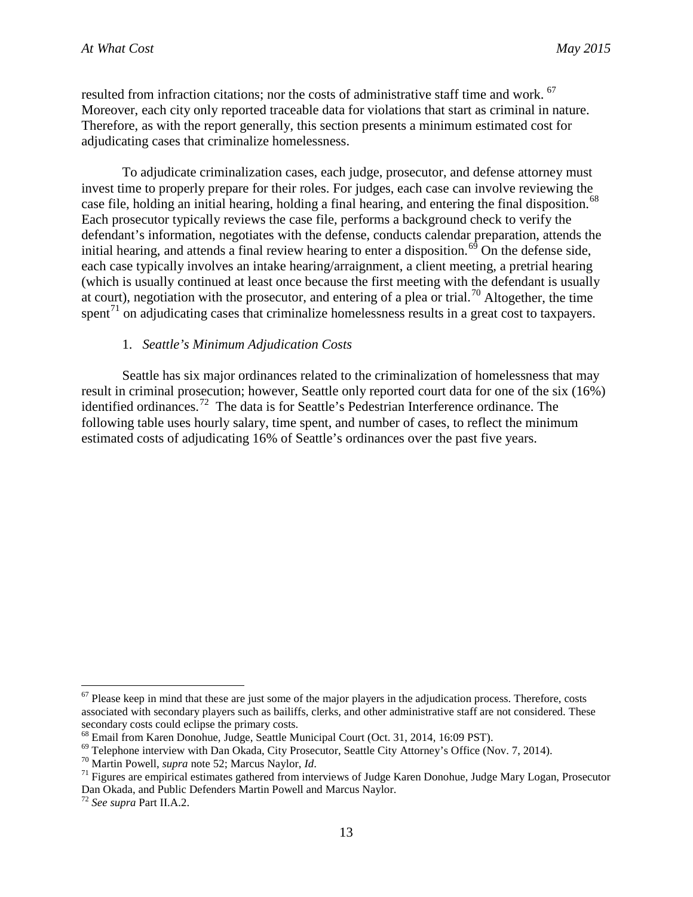resulted from infraction citations; nor the costs of administrative staff time and work. <sup>[67](#page-17-0)</sup> Moreover, each city only reported traceable data for violations that start as criminal in nature. Therefore, as with the report generally, this section presents a minimum estimated cost for adjudicating cases that criminalize homelessness.

To adjudicate criminalization cases, each judge, prosecutor, and defense attorney must invest time to properly prepare for their roles. For judges, each case can involve reviewing the case file, holding an initial hearing, holding a final hearing, and entering the final disposition.<sup>[68](#page-17-1)</sup> Each prosecutor typically reviews the case file, performs a background check to verify the defendant's information, negotiates with the defense, conducts calendar preparation, attends the initial hearing, and attends a final review hearing to enter a disposition.<sup>[69](#page-17-2)</sup> On the defense side, each case typically involves an intake hearing/arraignment, a client meeting, a pretrial hearing (which is usually continued at least once because the first meeting with the defendant is usually at court), negotiation with the prosecutor, and entering of a plea or trial.<sup>[70](#page-17-3)</sup> Altogether, the time spent<sup>[71](#page-17-4)</sup> on adjudicating cases that criminalize homelessness results in a great cost to taxpayers.

#### 1. *Seattle's Minimum Adjudication Costs*

Seattle has six major ordinances related to the criminalization of homelessness that may result in criminal prosecution; however, Seattle only reported court data for one of the six (16%) identified ordinances.<sup>72</sup> The data is for Seattle's Pedestrian Interference ordinance. The following table uses hourly salary, time spent, and number of cases, to reflect the minimum estimated costs of adjudicating 16% of Seattle's ordinances over the past five years.

<span id="page-17-0"></span> $67$  Please keep in mind that these are just some of the major players in the adjudication process. Therefore, costs associated with secondary players such as bailiffs, clerks, and other administrative staff are not considered. These secondary costs could eclipse the primary costs.<br><sup>68</sup> Email from Karen Donohue, Judge, Seattle Municipal Court (Oct. 31, 2014, 16:09 PST).

<span id="page-17-1"></span>

<span id="page-17-2"></span><sup>&</sup>lt;sup>69</sup> Telephone interview with Dan Okada, City Prosecutor, Seattle City Attorney's Office (Nov. 7, 2014).<br><sup>70</sup> Martin Powell, *supra* note 52; Marcus Naylor, *Id*.<br><sup>71</sup> Figures are empirical estimates gathered from intervi

<span id="page-17-3"></span>

<span id="page-17-4"></span>Dan Okada, and Public Defenders Martin Powell and Marcus Naylor.

<span id="page-17-5"></span><sup>72</sup> *See supra* Part II.A.2.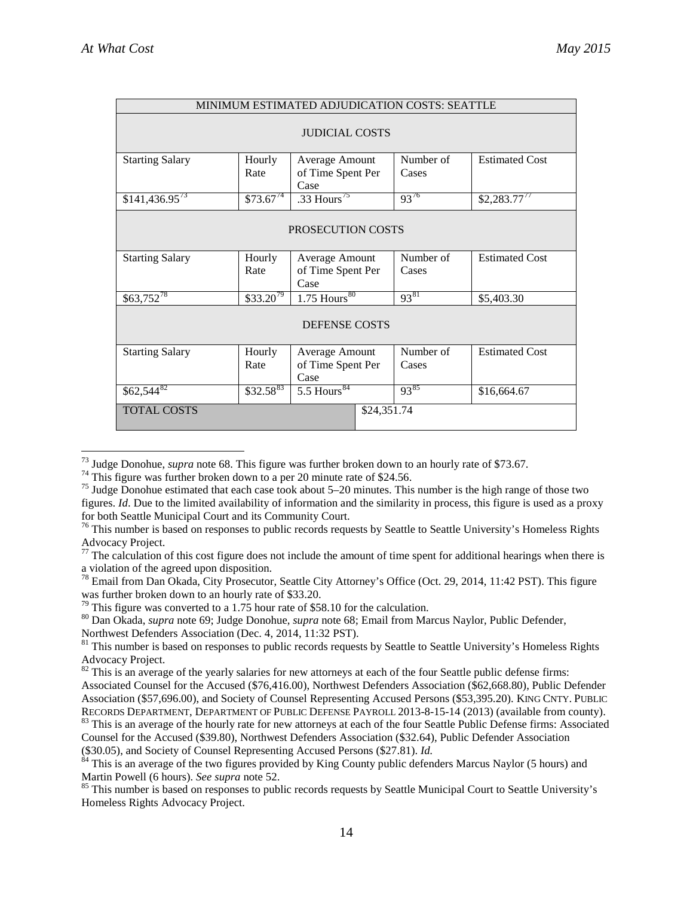| MINIMUM ESTIMATED ADJUDICATION COSTS: SEATTLE |                |                                             |                    |                       |  |
|-----------------------------------------------|----------------|---------------------------------------------|--------------------|-----------------------|--|
| <b>JUDICIAL COSTS</b>                         |                |                                             |                    |                       |  |
| <b>Starting Salary</b>                        | Hourly<br>Rate | Average Amount<br>of Time Spent Per<br>Case | Number of<br>Cases | <b>Estimated Cost</b> |  |
| $$141,436.95^{73}$                            | $$73.67^{74}$  | .33 Hours $^{75}$                           | 9376               | $$2,283.77^{77}$      |  |
| PROSECUTION COSTS                             |                |                                             |                    |                       |  |
| <b>Starting Salary</b>                        | Hourly         | Average Amount                              | Number of          | <b>Estimated Cost</b> |  |
|                                               | Rate           | of Time Spent Per                           | Cases              |                       |  |
|                                               |                | Case                                        |                    |                       |  |
| $$63,752^{78}$                                | $$33.20^{79}$  | $1.75$ Hours <sup>80</sup>                  | 9381               | \$5,403.30            |  |
| <b>DEFENSE COSTS</b>                          |                |                                             |                    |                       |  |
| <b>Starting Salary</b>                        | Hourly<br>Rate | Average Amount<br>of Time Spent Per<br>Case | Number of<br>Cases | <b>Estimated Cost</b> |  |
| $$62,544$ <sup>82</sup>                       | $$32.58^{83}$  | $5.5 \overline{\text{Hours}^{84}}$          | 9385               | \$16,664.67           |  |
| <b>TOTAL COSTS</b>                            |                | \$24,351.74                                 |                    |                       |  |

<span id="page-18-2"></span><span id="page-18-1"></span>

<span id="page-18-0"></span><sup>&</sup>lt;sup>73</sup> Judge Donohue, *supra* note 68. This figure was further broken down to an hourly rate of \$73.67.<br><sup>74</sup> This figure was further broken down to a per 20 minute rate of \$24.56.<br><sup>75</sup> Judge Donohue estimated that each case figures. *Id*. Due to the limited availability of information and the similarity in process, this figure is used as a proxy

<span id="page-18-3"></span> $^{76}$  This number is based on responses to public records requests by Seattle to Seattle University's Homeless Rights Advocacy Project.

<span id="page-18-4"></span> $77$  The calculation of this cost figure does not include the amount of time spent for additional hearings when there is a violation of the agreed upon disposition.

<span id="page-18-5"></span><sup>&</sup>lt;sup>78</sup> Email from Dan Okada, City Prosecutor, Seattle City Attorney's Office (Oct. 29, 2014, 11:42 PST). This figure was further broken down to an hourly rate of \$33.20.<br><sup>79</sup> This figure was converted to a 1.75 hour rate of \$58.10 for the calculation.

<span id="page-18-7"></span><span id="page-18-6"></span><sup>&</sup>lt;sup>80</sup> Dan Okada, *supra* note 69; Judge Donohue, *supra* note 68; Email from Marcus Naylor, Public Defender, Northwest Defenders Association (Dec. 4, 2014, 11:32 PST).

<span id="page-18-8"></span><sup>&</sup>lt;sup>81</sup> This number is based on responses to public records requests by Seattle to Seattle University's Homeless Rights Advocacy Project.

<span id="page-18-9"></span> $82$  This is an average of the yearly salaries for new attorneys at each of the four Seattle public defense firms: Associated Counsel for the Accused (\$76,416.00), Northwest Defenders Association (\$62,668.80), Public Defender Association (\$57,696.00), and Society of Counsel Representing Accused Persons (\$53,395.20). KING CNTY. PUBLIC RECORDS DEPARTMENT, DEPARTMENT OF PUBLIC DEFENSE PAYROLL 2013-8-15-14 (2013) (available from county). <sup>83</sup> This is an average of the hourly rate for new attorneys at each of the four Seattle Public Defense firms: Associated

<span id="page-18-10"></span>Counsel for the Accused (\$39.80), Northwest Defenders Association (\$32.64), Public Defender Association

<span id="page-18-11"></span><sup>(\$30.05),</sup> and Society of Counsel Representing Accused Persons (\$27.81). *Id.* 84 This is an average of the two figures provided by King County public defenders Marcus Naylor (5 hours) and Martin Powell (6 hours). *See supr* 

<span id="page-18-12"></span><sup>&</sup>lt;sup>85</sup> This number is based on responses to public records requests by Seattle Municipal Court to Seattle University's Homeless Rights Advocacy Project.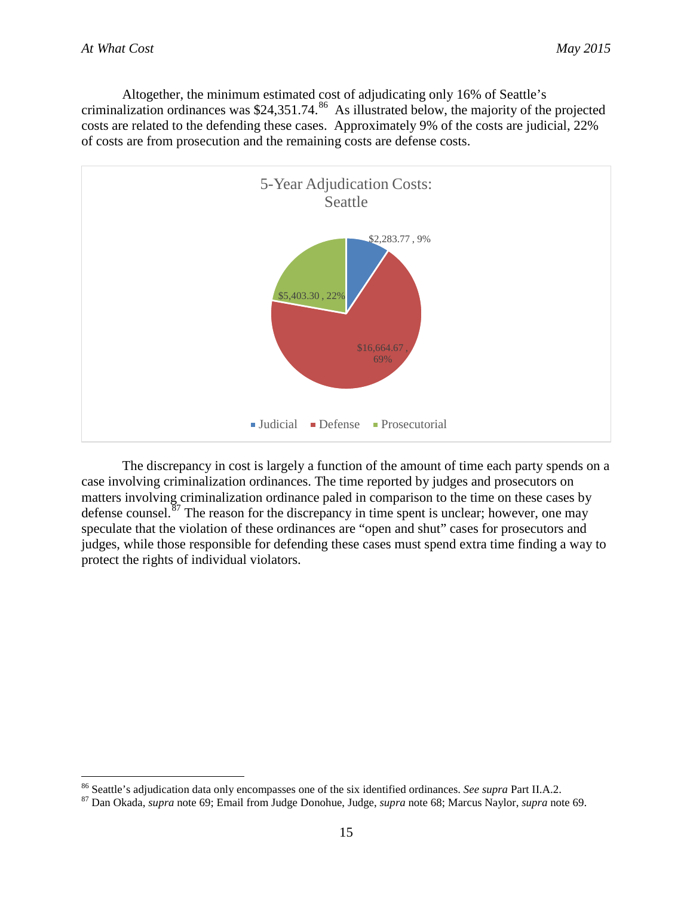Altogether, the minimum estimated cost of adjudicating only 16% of Seattle's criminalization ordinances was \$24,351.74.<sup>86</sup> As illustrated below, the majority of the projected costs are related to the defending these cases. Approximately 9% of the costs are judicial, 22% of costs are from prosecution and the remaining costs are defense costs.



The discrepancy in cost is largely a function of the amount of time each party spends on a case involving criminalization ordinances. The time reported by judges and prosecutors on matters involving criminalization ordinance paled in comparison to the time on these cases by defense counsel.<sup>[87](#page-19-1)</sup> The reason for the discrepancy in time spent is unclear; however, one may speculate that the violation of these ordinances are "open and shut" cases for prosecutors and judges, while those responsible for defending these cases must spend extra time finding a way to protect the rights of individual violators.

<span id="page-19-0"></span><sup>&</sup>lt;sup>86</sup> Seattle's adjudication data only encompasses one of the six identified ordinances. *See supra* Part II.A.2.<br><sup>87</sup> Dan Okada, *supra* note 69; Email from Judge Donohue, Judge, *supra* note 68; Marcus Naylor, *supra* no

<span id="page-19-1"></span>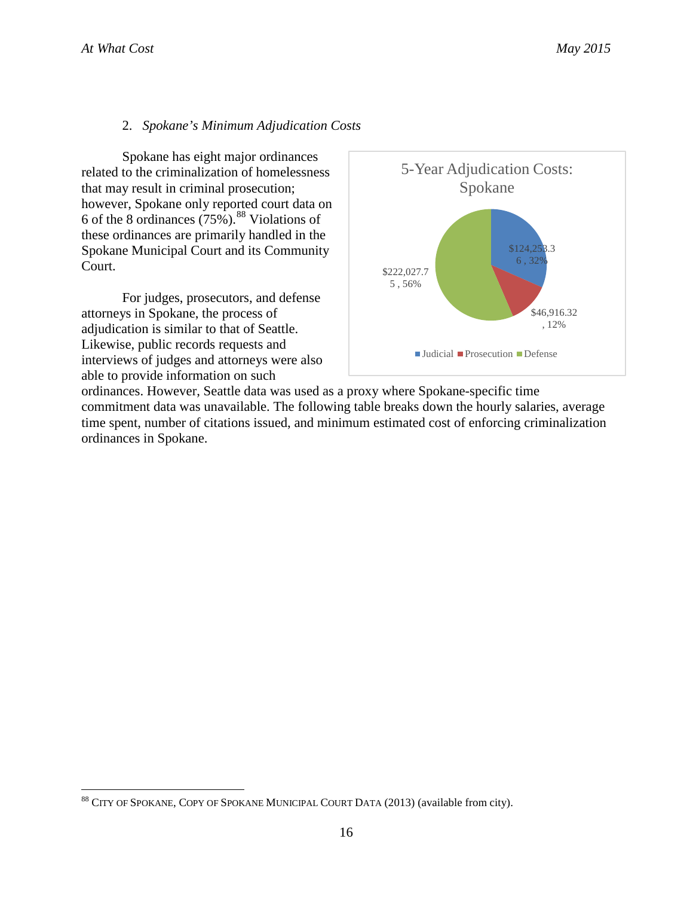# 2. *Spokane's Minimum Adjudication Costs*

Spokane has eight major ordinances related to the criminalization of homelessness that may result in criminal prosecution; however, Spokane only reported court data on 6 of the 8 ordinances (75%). [88](#page-20-0) Violations of these ordinances are primarily handled in the Spokane Municipal Court and its Community Court.

For judges, prosecutors, and defense attorneys in Spokane, the process of adjudication is similar to that of Seattle. Likewise, public records requests and interviews of judges and attorneys were also able to provide information on such



ordinances. However, Seattle data was used as a proxy where Spokane-specific time commitment data was unavailable. The following table breaks down the hourly salaries, average time spent, number of citations issued, and minimum estimated cost of enforcing criminalization ordinances in Spokane.

<span id="page-20-0"></span><sup>88</sup> CITY OF SPOKANE, COPY OF SPOKANE MUNICIPAL COURT DATA (2013) (available from city).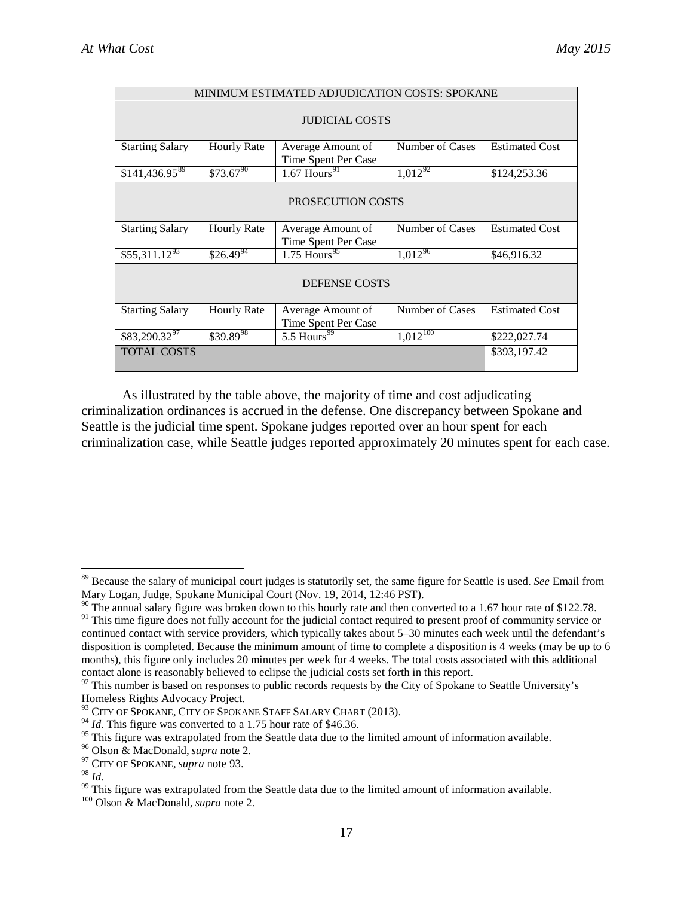| MINIMUM ESTIMATED ADJUDICATION COSTS: SPOKANE |                          |                                          |                 |                       |  |
|-----------------------------------------------|--------------------------|------------------------------------------|-----------------|-----------------------|--|
| <b>JUDICIAL COSTS</b>                         |                          |                                          |                 |                       |  |
| <b>Starting Salary</b>                        | <b>Hourly Rate</b>       | Average Amount of<br>Time Spent Per Case | Number of Cases | <b>Estimated Cost</b> |  |
| $$141,436.95^{89}$                            | $$73.67^{90}$            | $1.67$ Hours <sup>91</sup>               | $1,012^{92}$    | \$124,253.36          |  |
| <b>PROSECUTION COSTS</b>                      |                          |                                          |                 |                       |  |
| <b>Starting Salary</b>                        | <b>Hourly Rate</b>       | Average Amount of<br>Time Spent Per Case | Number of Cases | <b>Estimated Cost</b> |  |
| $$55,311.12^{93}$                             | $$26.\overline{49}^{94}$ | $1.75$ Hours <sup>95</sup>               | $1,012^{96}$    | \$46,916.32           |  |
| <b>DEFENSE COSTS</b>                          |                          |                                          |                 |                       |  |
| <b>Starting Salary</b>                        | <b>Hourly Rate</b>       | Average Amount of<br>Time Spent Per Case | Number of Cases | <b>Estimated Cost</b> |  |
| $$83,290.32^{97}$                             | $$39.89^{98}$            | $5.5$ Hours <sup>99</sup>                | $1,012^{100}$   | \$222,027.74          |  |
| <b>TOTAL COSTS</b>                            |                          |                                          |                 | \$393,197.42          |  |

As illustrated by the table above, the majority of time and cost adjudicating criminalization ordinances is accrued in the defense. One discrepancy between Spokane and Seattle is the judicial time spent. Spokane judges reported over an hour spent for each criminalization case, while Seattle judges reported approximately 20 minutes spent for each case.

<span id="page-21-0"></span> <sup>89</sup> Because the salary of municipal court judges is statutorily set, the same figure for Seattle is used. *See* Email from Mary Logan, Judge, Spokane Municipal Court (Nov. 19, 2014, 12:46 PST).

<span id="page-21-1"></span><sup>&</sup>lt;sup>90</sup> The annual salary figure was broken down to this hourly rate and then converted to a 1.67 hour rate of \$122.78.

<span id="page-21-2"></span><sup>&</sup>lt;sup>91</sup> This time figure does not fully account for the judicial contact required to present proof of community service or continued contact with service providers, which typically takes about 5–30 minutes each week until the defendant's disposition is completed. Because the minimum amount of time to complete a disposition is 4 weeks (may be up to 6 months), this figure only includes 20 minutes per week for 4 weeks. The total costs associated with this additional contact alone is reasonably believed to eclipse the judicial costs set forth in this report.

<span id="page-21-3"></span><sup>&</sup>lt;sup>92</sup> This number is based on responses to public records requests by the City of Spokane to Seattle University's Homeless Rights Advocacy Project.

<span id="page-21-4"></span><sup>&</sup>lt;sup>93</sup> CITY OF SPOKANE, CITY OF SPOKANE STAFF SALARY CHART (2013).

<span id="page-21-5"></span> $^{94}$  *Id.* This figure was converted to a 1.75 hour rate of \$46.36.

<span id="page-21-6"></span><sup>&</sup>lt;sup>95</sup> This figure was extrapolated from the Seattle data due to the limited amount of information available.<br><sup>96</sup> Olson & MacDonald, *supra* note 2.<br><sup>97</sup> CITY OF SPOKANE, *supra* note 93.<br><sup>98</sup> Id

<span id="page-21-8"></span><span id="page-21-7"></span>

<span id="page-21-11"></span><span id="page-21-10"></span><span id="page-21-9"></span><sup>&</sup>lt;sup>99</sup> This figure was extrapolated from the Seattle data due to the limited amount of information available. <sup>100</sup> Olson & MacDonald, *supra* note 2.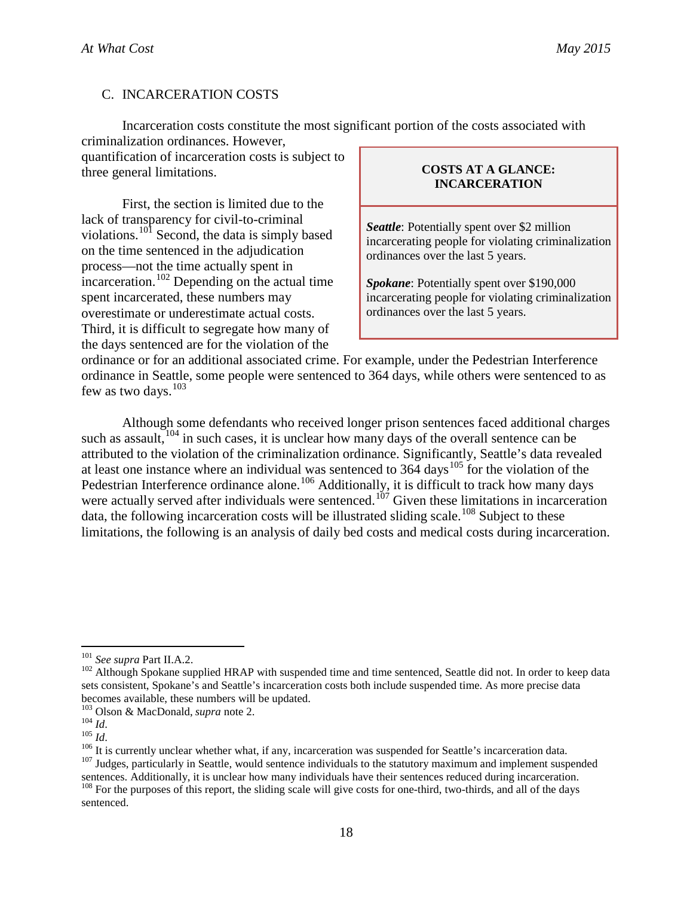# C. INCARCERATION COSTS

Incarceration costs constitute the most significant portion of the costs associated with criminalization ordinances. However,

quantification of incarceration costs is subject to three general limitations.

First, the section is limited due to the lack of transparency for civil-to-criminal violations.<sup>[101](#page-22-0)</sup> Second, the data is simply based on the time sentenced in the adjudication process—not the time actually spent in incarceration.<sup>[102](#page-22-1)</sup> Depending on the actual time spent incarcerated, these numbers may overestimate or underestimate actual costs. Third, it is difficult to segregate how many of the days sentenced are for the violation of the

#### **COSTS AT A GLANCE: INCARCERATION**

*Seattle*: Potentially spent over \$2 million incarcerating people for violating criminalization ordinances over the last 5 years.

*Spokane*: Potentially spent over \$190,000 incarcerating people for violating criminalization ordinances over the last 5 years.

ordinance or for an additional associated crime. For example, under the Pedestrian Interference ordinance in Seattle, some people were sentenced to 364 days, while others were sentenced to as few as two days.<sup>[103](#page-22-2)</sup>

Although some defendants who received longer prison sentences faced additional charges such as assault,  $104$  in such cases, it is unclear how many days of the overall sentence can be attributed to the violation of the criminalization ordinance. Significantly, Seattle's data revealed at least one instance where an individual was sentenced to  $36\overline{4}$  days<sup>[105](#page-22-4)</sup> for the violation of the Pedestrian Interference ordinance alone.<sup>[106](#page-22-5)</sup> Additionally, it is difficult to track how many days were actually served after individuals were sentenced.<sup>[107](#page-22-6)</sup> Given these limitations in incarceration data, the following incarceration costs will be illustrated sliding scale.<sup>[108](#page-22-7)</sup> Subject to these limitations, the following is an analysis of daily bed costs and medical costs during incarceration.

<span id="page-22-1"></span><span id="page-22-0"></span><sup>&</sup>lt;sup>101</sup> See supra Part II.A.2.<br><sup>102</sup> Although Spokane supplied HRAP with suspended time and time sentenced, Seattle did not. In order to keep data sets consistent, Spokane's and Seattle's incarceration costs both include suspended time. As more precise data becomes available, these numbers will be updated.<br><sup>103</sup> Olson & MacDonald, *supra* note 2.

<span id="page-22-4"></span><span id="page-22-3"></span><span id="page-22-2"></span> $105$ <br>  $10$ <br>  $10$ <br>  $10$ <br>  $10$ <br>  $10$ <br>  $10$ <br>  $10$ <br>  $10$ <br>  $10$ <br>  $10$ <br>  $10$ <br>  $10$ <br>  $10$ <br>  $10$ <br>  $10$ <br>  $10$ <br>  $10$ <br>  $10$ <br>  $10$ <br>  $10$ <br>  $10$ <br>  $10$ <br>  $10$ <br>  $10$ <br>  $10$ <br>  $10$ <br>  $10$ <br>  $10$ <br>  $10$ <br>  $10$ <br>  $10$ <br>  $10$ <br>  $10$ <br>  $10$ <br>  $10$ <br>  $10$ 

<span id="page-22-7"></span><span id="page-22-6"></span><span id="page-22-5"></span>sentences. Additionally, it is unclear how many individuals have their sentences reduced during incarceration.<br><sup>108</sup> For the purposes of this report, the sliding scale will give costs for one-third, two-thirds, and all of sentenced.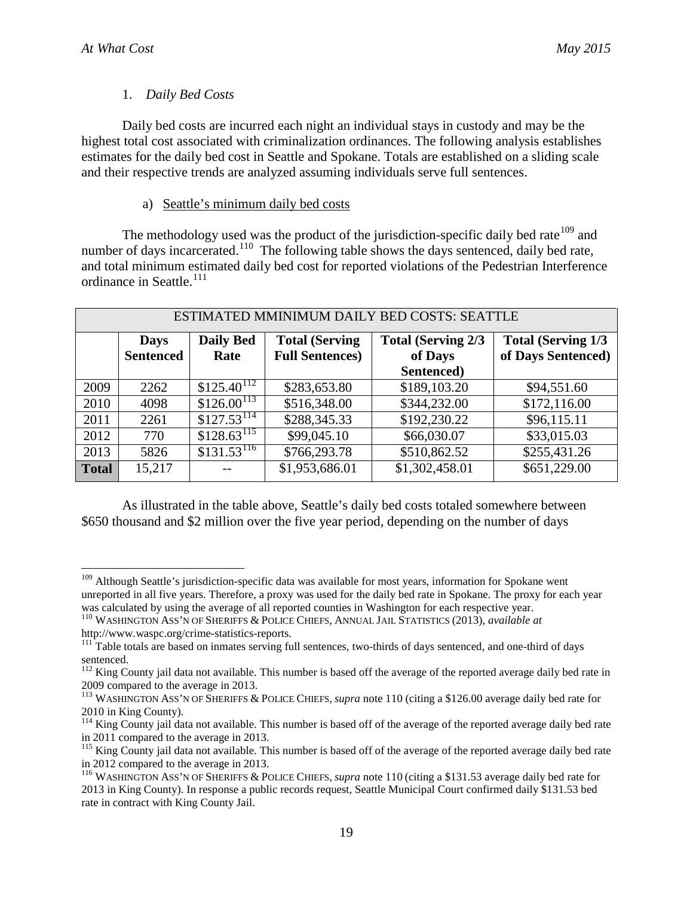# 1. *Daily Bed Costs*

Daily bed costs are incurred each night an individual stays in custody and may be the highest total cost associated with criminalization ordinances. The following analysis establishes estimates for the daily bed cost in Seattle and Spokane. Totals are established on a sliding scale and their respective trends are analyzed assuming individuals serve full sentences.

# a) Seattle's minimum daily bed costs

The methodology used was the product of the jurisdiction-specific daily bed rate<sup> $109$ </sup> and number of days incarcerated.<sup>110</sup> The following table shows the days sentenced, daily bed rate, and total minimum estimated daily bed cost for reported violations of the Pedestrian Interference ordinance in Seattle.<sup>[111](#page-23-2)</sup>

| ESTIMATED MMINIMUM DAILY BED COSTS: SEATTLE |                  |                            |                        |                            |                            |  |
|---------------------------------------------|------------------|----------------------------|------------------------|----------------------------|----------------------------|--|
|                                             |                  |                            |                        |                            |                            |  |
|                                             | <b>Days</b>      | <b>Daily Bed</b>           | <b>Total (Serving)</b> | <b>Total (Serving 2/3)</b> | <b>Total (Serving 1/3)</b> |  |
|                                             | <b>Sentenced</b> | Rate                       | <b>Full Sentences)</b> | of Days                    | of Days Sentenced)         |  |
|                                             |                  |                            |                        | Sentenced)                 |                            |  |
| 2009                                        | 2262             | \$125.40 <sup>112</sup>    | \$283,653.80           | \$189,103.20               | \$94,551.60                |  |
| 2010                                        | 4098             | $$126.00^{113}$            | \$516,348.00           | \$344,232.00               | \$172,116.00               |  |
| 2011                                        | 2261             | $$127.53^{114}$            | \$288,345.33           | \$192,230.22               | \$96,115.11                |  |
| 2012                                        | 770              | $$1\overline{28.63}^{115}$ | \$99,045.10            | \$66,030.07                | \$33,015.03                |  |
| 2013                                        | 5826             | $$131.53^{116}$            | \$766,293.78           | \$510,862.52               | \$255,431.26               |  |
| <b>Total</b>                                | 15,217           |                            | \$1,953,686.01         | \$1,302,458.01             | \$651,229.00               |  |
|                                             |                  |                            |                        |                            |                            |  |

As illustrated in the table above, Seattle's daily bed costs totaled somewhere between \$650 thousand and \$2 million over the five year period, depending on the number of days

<span id="page-23-0"></span><sup>&</sup>lt;sup>109</sup> Although Seattle's jurisdiction-specific data was available for most years, information for Spokane went unreported in all five years. Therefore, a proxy was used for the daily bed rate in Spokane. The proxy for each year was calculated by using the average of all reported counties in Washington for each respective year.

<span id="page-23-1"></span><sup>&</sup>lt;sup>110</sup> WASHINGTON ASS'N OF SHERIFFS & POLICE CHIEFS, ANNUAL JAIL STATISTICS (2013), *available at* http://www.waspc.org/crime-statistics-reports.<br><sup>111</sup> Table totals are based on inmates serving full sentences, two-thirds of days sentenced, and one-third of days

<span id="page-23-2"></span>sentenced.

<span id="page-23-3"></span><sup>&</sup>lt;sup>112</sup> King County jail data not available. This number is based off the average of the reported average daily bed rate in 2009 compared to the average in 2013.

<span id="page-23-4"></span><sup>113</sup> WASHINGTON ASS'N OF SHERIFFS & POLICE CHIEFS, *supra* note 110 (citing a \$126.00 average daily bed rate for 2010 in King County).

<span id="page-23-5"></span><sup>&</sup>lt;sup>114</sup> King County jail data not available. This number is based off of the average of the reported average daily bed rate in 2011 compared to the average in 2013.<br><sup>115</sup> King County jail data not available. This number is based off of the average of the reported average daily bed rate

<span id="page-23-6"></span>in 2012 compared to the average in 2013.

<span id="page-23-7"></span><sup>116</sup> WASHINGTON ASS'N OF SHERIFFS & POLICE CHIEFS, *supra* note 110 (citing a \$131.53 average daily bed rate for 2013 in King County). In response a public records request, Seattle Municipal Court confirmed daily \$131.53 bed rate in contract with King County Jail.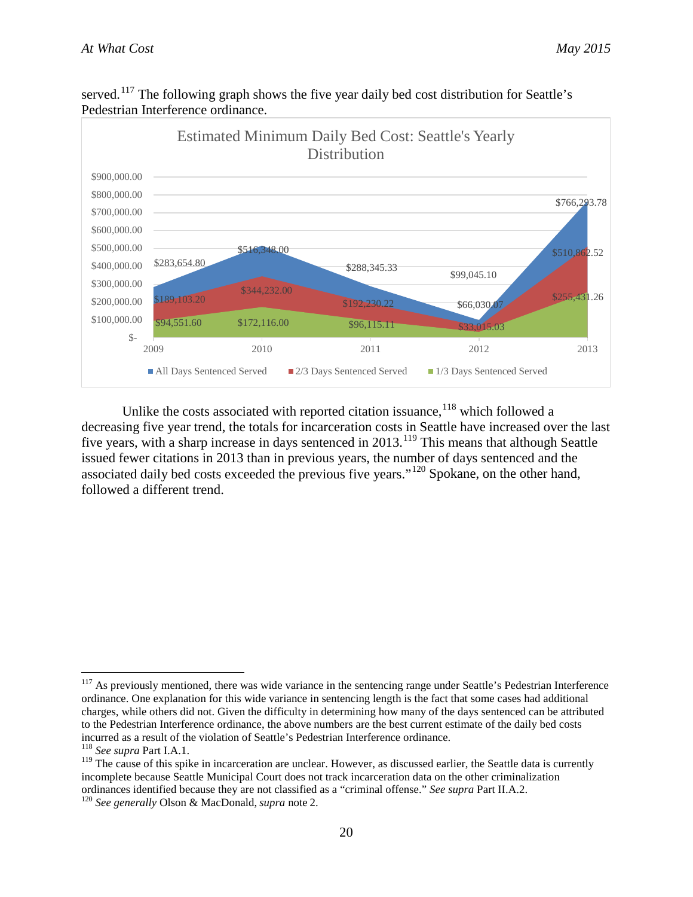

served.<sup>[117](#page-24-0)</sup> The following graph shows the five year daily bed cost distribution for Seattle's Pedestrian Interference ordinance.

Unlike the costs associated with reported citation issuance,  $118$  which followed a decreasing five year trend, the totals for incarceration costs in Seattle have increased over the last five years, with a sharp increase in days sentenced in  $2013$ .<sup>[119](#page-24-2)</sup> This means that although Seattle issued fewer citations in 2013 than in previous years, the number of days sentenced and the associated daily bed costs exceeded the previous five years."[120](#page-24-3) Spokane, on the other hand, followed a different trend.

<span id="page-24-0"></span><sup>&</sup>lt;sup>117</sup> As previously mentioned, there was wide variance in the sentencing range under Seattle's Pedestrian Interference ordinance. One explanation for this wide variance in sentencing length is the fact that some cases had additional charges, while others did not. Given the difficulty in determining how many of the days sentenced can be attributed to the Pedestrian Interference ordinance, the above numbers are the best current estimate of the daily bed costs incurred as a result of the violation of Seattle's Pedestrian Interference ordinance.

<sup>118</sup> *See supra* Part I.A.1.

<span id="page-24-2"></span><span id="page-24-1"></span> $119$  The cause of this spike in incarceration are unclear. However, as discussed earlier, the Seattle data is currently incomplete because Seattle Municipal Court does not track incarceration data on the other criminalization ordinances identified because they are not classified as a "criminal offense." *See supra* Part II.A.2. <sup>120</sup> *See generally* Olson & MacDonald, *supra* note 2.

<span id="page-24-3"></span>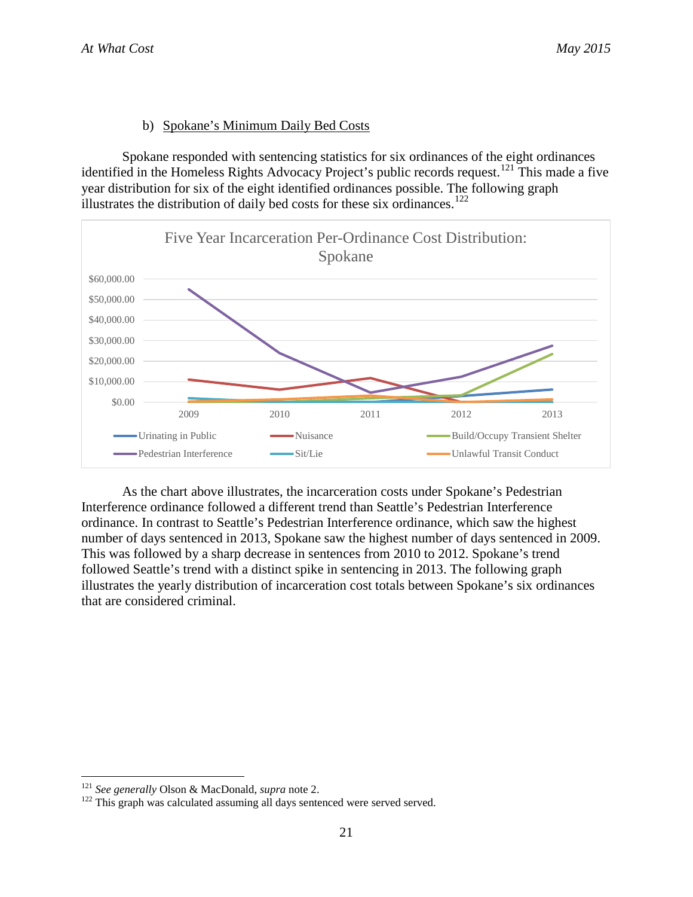# b) Spokane's Minimum Daily Bed Costs

Spokane responded with sentencing statistics for six ordinances of the eight ordinances identified in the Homeless Rights Advocacy Project's public records request.<sup>[121](#page-25-0)</sup> This made a five year distribution for six of the eight identified ordinances possible. The following graph illustrates the distribution of daily bed costs for these six ordinances.<sup>[122](#page-25-1)</sup>



As the chart above illustrates, the incarceration costs under Spokane's Pedestrian Interference ordinance followed a different trend than Seattle's Pedestrian Interference ordinance. In contrast to Seattle's Pedestrian Interference ordinance, which saw the highest number of days sentenced in 2013, Spokane saw the highest number of days sentenced in 2009. This was followed by a sharp decrease in sentences from 2010 to 2012. Spokane's trend followed Seattle's trend with a distinct spike in sentencing in 2013. The following graph illustrates the yearly distribution of incarceration cost totals between Spokane's six ordinances that are considered criminal.

<span id="page-25-1"></span><span id="page-25-0"></span><sup>&</sup>lt;sup>121</sup> *See generally* Olson & MacDonald, *supra* note 2.<br><sup>122</sup> This graph was calculated assuming all days sentenced were served served.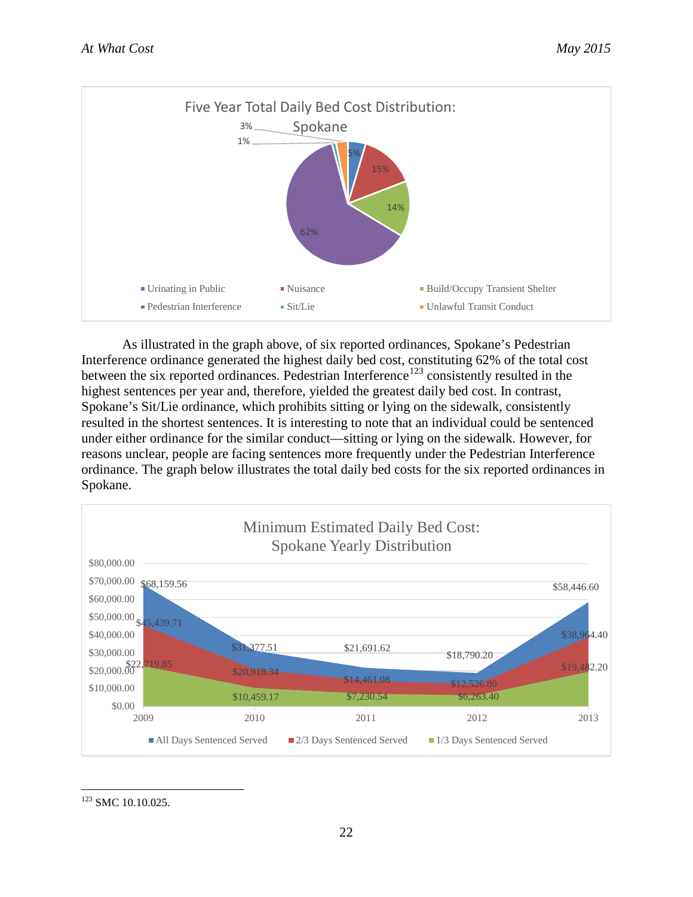

As illustrated in the graph above, of six reported ordinances, Spokane's Pedestrian Interference ordinance generated the highest daily bed cost, constituting 62% of the total cost between the six reported ordinances. Pedestrian Interference<sup>[123](#page-26-0)</sup> consistently resulted in the highest sentences per year and, therefore, yielded the greatest daily bed cost. In contrast, Spokane's Sit/Lie ordinance, which prohibits sitting or lying on the sidewalk, consistently resulted in the shortest sentences. It is interesting to note that an individual could be sentenced under either ordinance for the similar conduct—sitting or lying on the sidewalk. However, for reasons unclear, people are facing sentences more frequently under the Pedestrian Interference ordinance. The graph below illustrates the total daily bed costs for the six reported ordinances in Spokane.



<span id="page-26-0"></span><sup>123</sup> SMC 10.10.025.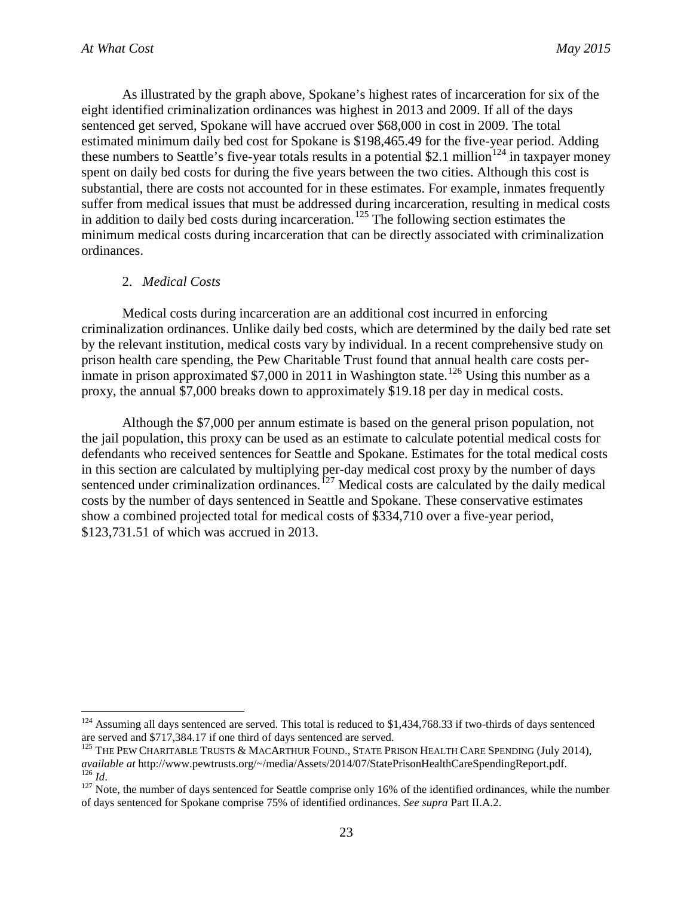As illustrated by the graph above, Spokane's highest rates of incarceration for six of the eight identified criminalization ordinances was highest in 2013 and 2009. If all of the days sentenced get served, Spokane will have accrued over \$68,000 in cost in 2009. The total estimated minimum daily bed cost for Spokane is \$198,465.49 for the five-year period. Adding these numbers to Seattle's five-year totals results in a potential \$2.1 million<sup>[124](#page-27-0)</sup> in taxpayer money spent on daily bed costs for during the five years between the two cities. Although this cost is substantial, there are costs not accounted for in these estimates. For example, inmates frequently suffer from medical issues that must be addressed during incarceration, resulting in medical costs in addition to daily bed costs during incarceration.<sup>[125](#page-27-1)</sup> The following section estimates the minimum medical costs during incarceration that can be directly associated with criminalization ordinances.

#### 2. *Medical Costs*

Medical costs during incarceration are an additional cost incurred in enforcing criminalization ordinances. Unlike daily bed costs, which are determined by the daily bed rate set by the relevant institution, medical costs vary by individual. In a recent comprehensive study on prison health care spending, the Pew Charitable Trust found that annual health care costs per-inmate in prison approximated \$7,000 in 2011 in Washington state.<sup>[126](#page-27-2)</sup> Using this number as a proxy, the annual \$7,000 breaks down to approximately \$19.18 per day in medical costs.

Although the \$7,000 per annum estimate is based on the general prison population, not the jail population, this proxy can be used as an estimate to calculate potential medical costs for defendants who received sentences for Seattle and Spokane. Estimates for the total medical costs in this section are calculated by multiplying per-day medical cost proxy by the number of days sentenced under criminalization ordinances.<sup> $127$ </sup> Medical costs are calculated by the daily medical costs by the number of days sentenced in Seattle and Spokane. These conservative estimates show a combined projected total for medical costs of \$334,710 over a five-year period, \$123,731.51 of which was accrued in 2013.

<span id="page-27-0"></span><sup>&</sup>lt;sup>124</sup> Assuming all days sentenced are served. This total is reduced to \$1,434,768.33 if two-thirds of days sentenced are served and \$717,384.17 if one third of days sentenced are served.

<span id="page-27-1"></span><sup>&</sup>lt;sup>125</sup> THE PEW CHARITABLE TRUSTS & MACARTHUR FOUND., STATE PRISON HEALTH CARE SPENDING (July 2014), *available at http://www.pewtrusts.org/~/media/Assets/2014/07/StatePrisonHealthCareSpendingReport.pdf.*<br><sup>126</sup> *Id.*<br><sup>127</sup> Note, the number of days sentenced for Seattle comprise only 16% of the identified ordinances, whil

<span id="page-27-3"></span><span id="page-27-2"></span>of days sentenced for Spokane comprise 75% of identified ordinances. *See supra* Part II.A.2.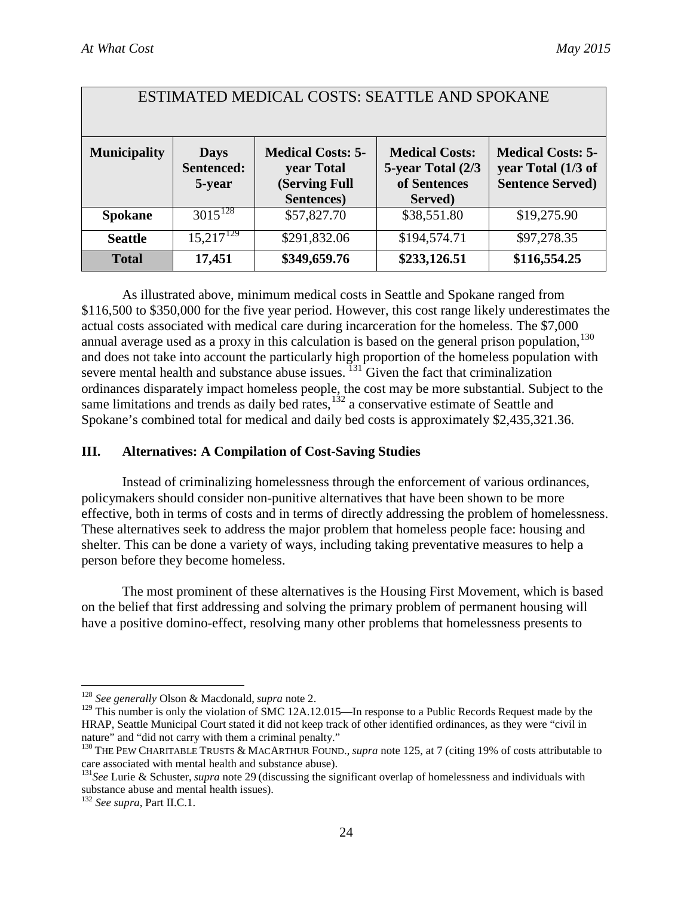| ESTIMATED MEDICAL COSTS: SEATTLE AND SPOKANE |                                     |                                                                       |                                                                       |                                                                           |
|----------------------------------------------|-------------------------------------|-----------------------------------------------------------------------|-----------------------------------------------------------------------|---------------------------------------------------------------------------|
| <b>Municipality</b>                          | <b>Days</b><br>Sentenced:<br>5-year | <b>Medical Costs: 5-</b><br>year Total<br>(Serving Full<br>Sentences) | <b>Medical Costs:</b><br>5-year Total (2/3<br>of Sentences<br>Served) | <b>Medical Costs: 5-</b><br>year Total (1/3 of<br><b>Sentence Served)</b> |
| <b>Spokane</b>                               | $3015^{128}$                        | \$57,827.70                                                           | \$38,551.80                                                           | \$19,275.90                                                               |
| <b>Seattle</b>                               | $15,217^{129}$                      | \$291,832.06                                                          | \$194,574.71                                                          | \$97,278.35                                                               |
| <b>Total</b>                                 | 17,451                              | \$349,659.76                                                          | \$233,126.51                                                          | \$116,554.25                                                              |

As illustrated above, minimum medical costs in Seattle and Spokane ranged from \$116,500 to \$350,000 for the five year period. However, this cost range likely underestimates the actual costs associated with medical care during incarceration for the homeless. The \$7,000 annual average used as a proxy in this calculation is based on the general prison population,  $130$ and does not take into account the particularly high proportion of the homeless population with severe mental health and substance abuse issues.  $131$  Given the fact that criminalization ordinances disparately impact homeless people, the cost may be more substantial. Subject to the same limitations and trends as daily bed rates, $1^{132}$  $1^{132}$  $1^{132}$  a conservative estimate of Seattle and Spokane's combined total for medical and daily bed costs is approximately \$2,435,321.36.

#### **III. Alternatives: A Compilation of Cost-Saving Studies**

Instead of criminalizing homelessness through the enforcement of various ordinances, policymakers should consider non-punitive alternatives that have been shown to be more effective, both in terms of costs and in terms of directly addressing the problem of homelessness. These alternatives seek to address the major problem that homeless people face: housing and shelter. This can be done a variety of ways, including taking preventative measures to help a person before they become homeless.

The most prominent of these alternatives is the Housing First Movement, which is based on the belief that first addressing and solving the primary problem of permanent housing will have a positive domino-effect, resolving many other problems that homelessness presents to

<span id="page-28-0"></span> <sup>128</sup> *See generally* Olson & Macdonald, *supra* note 2.

<span id="page-28-1"></span><sup>&</sup>lt;sup>129</sup> This number is only the violation of SMC 12A.12.015—In response to a Public Records Request made by the HRAP, Seattle Municipal Court stated it did not keep track of other identified ordinances, as they were "civil in nature" and "did not carry with them a criminal penalty."

<span id="page-28-2"></span><sup>130</sup> THE PEW CHARITABLE TRUSTS & MACARTHUR FOUND., *supra* note 125, at 7 (citing 19% of costs attributable to care associated with mental health and substance abuse).

<span id="page-28-3"></span><sup>131</sup>*See* Lurie & Schuster, *supra* note 29 (discussing the significant overlap of homelessness and individuals with substance abuse and mental health issues).

<span id="page-28-4"></span><sup>132</sup> *See supra,* Part II.C.1.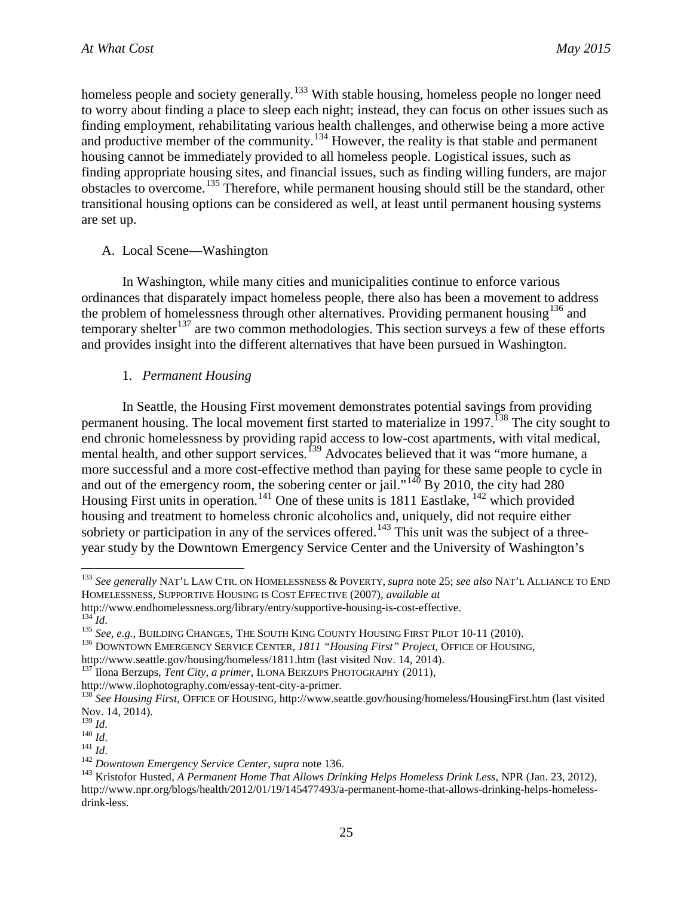homeless people and society generally.<sup>[133](#page-29-0)</sup> With stable housing, homeless people no longer need to worry about finding a place to sleep each night; instead, they can focus on other issues such as finding employment, rehabilitating various health challenges, and otherwise being a more active and productive member of the community.<sup>[134](#page-29-1)</sup> However, the reality is that stable and permanent housing cannot be immediately provided to all homeless people. Logistical issues, such as finding appropriate housing sites, and financial issues, such as finding willing funders, are major obstacles to overcome.[135](#page-29-2) Therefore, while permanent housing should still be the standard, other transitional housing options can be considered as well, at least until permanent housing systems are set up.

# A. Local Scene—Washington

In Washington, while many cities and municipalities continue to enforce various ordinances that disparately impact homeless people, there also has been a movement to address the problem of homelessness through other alternatives. Providing permanent housing  $136$  and temporary shelter<sup>[137](#page-29-4)</sup> are two common methodologies. This section surveys a few of these efforts and provides insight into the different alternatives that have been pursued in Washington.

# 1. *Permanent Housing*

In Seattle, the Housing First movement demonstrates potential savings from providing permanent housing. The local movement first started to materialize in 1997.<sup>[138](#page-29-5)</sup> The city sought to end chronic homelessness by providing rapid access to low-cost apartments, with vital medical, mental health, and other support services.<sup>[139](#page-29-6)</sup> Advocates believed that it was "more humane, a more successful and a more cost-effective method than paying for these same people to cycle in and out of the emergency room, the sobering center or jail."<sup>[140](#page-29-7)</sup> By 2010, the city had 280 Housing First units in operation.<sup>[141](#page-29-8)</sup> One of these units is  $1811$  Eastlake,  $142$  which provided housing and treatment to homeless chronic alcoholics and, uniquely, did not require either sobriety or participation in any of the services offered.<sup>[143](#page-29-10)</sup> This unit was the subject of a threeyear study by the Downtown Emergency Service Center and the University of Washington's

<span id="page-29-0"></span> <sup>133</sup> *See generally* NAT'L LAW CTR. ON HOMELESSNESS & POVERTY, *supra* note 25; *see also* NAT'L ALLIANCE TO END HOMELESSNESS, SUPPORTIVE HOUSING IS COST EFFECTIVE (2007), *available at*

<span id="page-29-2"></span>

<span id="page-29-1"></span>http://www.endhomelessness.org/library/entry/supportive-housing-is-cost-effective.<br>
<sup>134</sup> Id.<br>
<sup>135</sup> See, e.g., BUILDING CHANGES, THE SOUTH KING COUNTY HOUSING FIRST PILOT 10-11 (2010).<br>
<sup>136</sup> DOWNTOWN EMERGENCY SERVICE CE

<span id="page-29-3"></span>http://www.seattle.gov/housing/homeless/1811.htm (last visited Nov. 14, 2014).<br><sup>137</sup> Ilona Berzups, *Tent City, a primer*, ILONA BERZUPS PHOTOGRAPHY (2011),<br>http://www.ilophotography.com/essay-tent-city-a-primer.

<span id="page-29-4"></span>

<span id="page-29-5"></span><sup>&</sup>lt;sup>138</sup> See Housing First, OFFICE OF HOUSING, http://www.seattle.gov/housing/homeless/HousingFirst.htm (last visited Nov. 14, 2014).<br> $\frac{139}{13}$  *Id.* 

<span id="page-29-10"></span><span id="page-29-9"></span>

<span id="page-29-8"></span><span id="page-29-7"></span><span id="page-29-6"></span><sup>&</sup>lt;sup>140</sup> Id.<br><sup>141</sup> Id.<br><sup>141</sup> Id.<br><sup>142</sup> Downtown Emergency Service Center, supra note 136.<br><sup>143</sup> Kristofor Husted, *A Permanent Home That Allows Drinking Helps Homeless Drink Less*, NPR (Jan. 23, 2012), http://www.npr.org/blogs/health/2012/01/19/145477493/a-permanent-home-that-allows-drinking-helps-homelessdrink-less.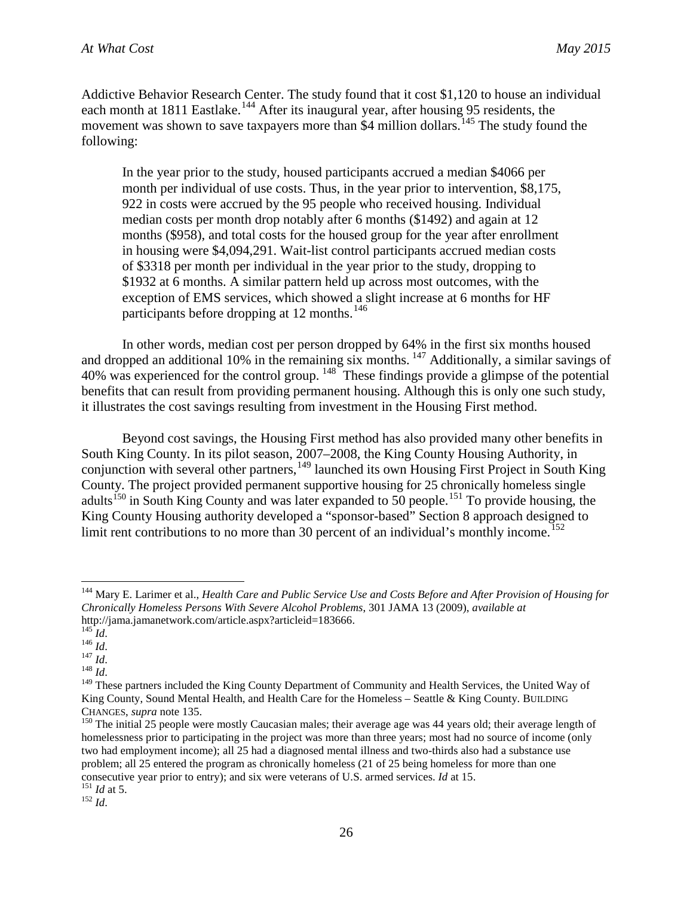Addictive Behavior Research Center. The study found that it cost \$1,120 to house an individual each month at 1811 Eastlake.<sup>[144](#page-30-0)</sup> After its inaugural year, after housing 95 residents, the movement was shown to save taxpayers more than \$4 million dollars.<sup>[145](#page-30-1)</sup> The study found the following:

In the year prior to the study, housed participants accrued a median \$4066 per month per individual of use costs. Thus, in the year prior to intervention, \$8,175, 922 in costs were accrued by the 95 people who received housing. Individual median costs per month drop notably after 6 months (\$1492) and again at 12 months (\$958), and total costs for the housed group for the year after enrollment in housing were \$4,094,291. Wait-list control participants accrued median costs of \$3318 per month per individual in the year prior to the study, dropping to \$1932 at 6 months. A similar pattern held up across most outcomes, with the exception of EMS services, which showed a slight increase at 6 months for HF participants before dropping at 12 months.<sup>[146](#page-30-2)</sup>

In other words, median cost per person dropped by 64% in the first six months housed and dropped an additional 10% in the remaining six months.  $147$  Additionally, a similar savings of 40% was experienced for the control group. <sup>[148](#page-30-4)</sup> These findings provide a glimpse of the potential benefits that can result from providing permanent housing. Although this is only one such study, it illustrates the cost savings resulting from investment in the Housing First method.

Beyond cost savings, the Housing First method has also provided many other benefits in South King County. In its pilot season, 2007–2008, the King County Housing Authority, in conjunction with several other partners,  $149$  launched its own Housing First Project in South King County. The project provided permanent supportive housing for 25 chronically homeless single adults<sup>[150](#page-30-6)</sup> in South King County and was later expanded to 50 people.<sup>[151](#page-30-7)</sup> To provide housing, the King County Housing authority developed a "sponsor-based" Section 8 approach designed to limit rent contributions to no more than 30 percent of an individual's monthly income.<sup>[152](#page-30-8)</sup>

<span id="page-30-3"></span>

<span id="page-30-0"></span> <sup>144</sup> Mary E. Larimer et al., *Health Care and Public Service Use and Costs Before and After Provision of Housing for Chronically Homeless Persons With Severe Alcohol Problems*, 301 JAMA 13 (2009), *available at*

<span id="page-30-2"></span>

<span id="page-30-5"></span><span id="page-30-4"></span>

<span id="page-30-1"></span>http://jama.jamanetwork.com/article.aspx?articleid=183666.<br>
<sup>145</sup> *Id.*<br>
<sup>146</sup> *Id.*<br>
<sup>148</sup> *Id.*<br>
<sup>148</sup> *Id.*<br>
<sup>149</sup> These partners included the King County Department of Community and Health Services, the United Way of King County, Sound Mental Health, and Health Care for the Homeless – Seattle & King County. BUILDING

<span id="page-30-6"></span>CHANGES, *supra* note 135.<br><sup>150</sup> The initial 25 people were mostly Caucasian males; their average age was 44 years old; their average length of homelessness prior to participating in the project was more than three years; most had no source of income (only two had employment income); all 25 had a diagnosed mental illness and two-thirds also had a substance use problem; all 25 entered the program as chronically homeless (21 of 25 being homeless for more than one consecutive year prior to entry); and six were veterans of U.S. armed services. *Id* at 15. <sup>151</sup> *Id* at 5. 152 *Id*.

<span id="page-30-8"></span><span id="page-30-7"></span>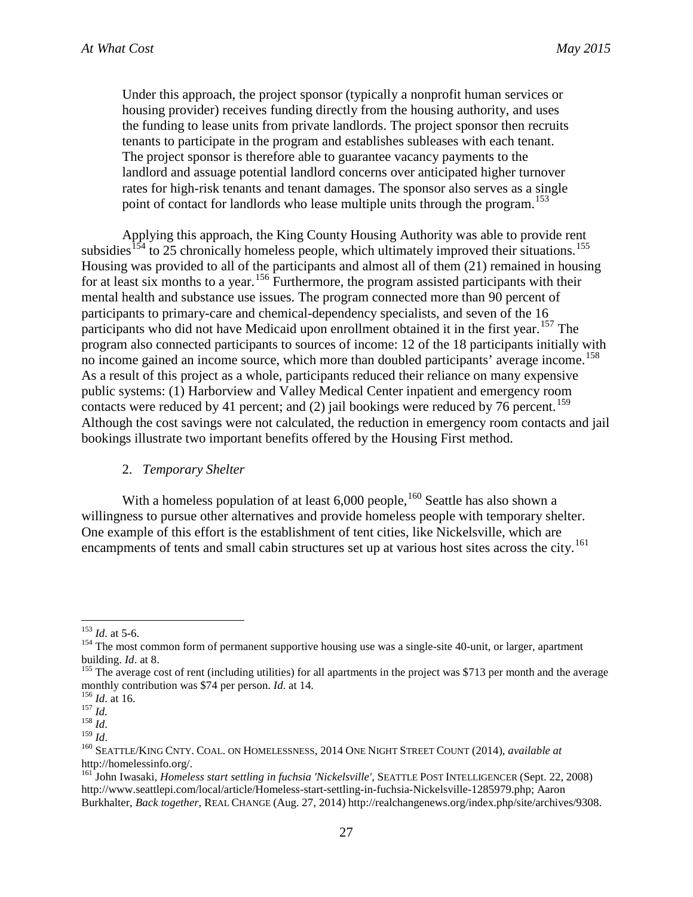Under this approach, the project sponsor (typically a nonprofit human services or housing provider) receives funding directly from the housing authority, and uses the funding to lease units from private landlords. The project sponsor then recruits tenants to participate in the program and establishes subleases with each tenant. The project sponsor is therefore able to guarantee vacancy payments to the landlord and assuage potential landlord concerns over anticipated higher turnover rates for high-risk tenants and tenant damages. The sponsor also serves as a single point of contact for landlords who lease multiple units through the program.<sup>[153](#page-31-0)</sup>

Applying this approach, the King County Housing Authority was able to provide rent subsidies<sup>[154](#page-31-1)</sup> to 25 chronically homeless people, which ultimately improved their situations.<sup>[155](#page-31-2)</sup> Housing was provided to all of the participants and almost all of them (21) remained in housing for at least six months to a year.<sup>[156](#page-31-3)</sup> Furthermore, the program assisted participants with their mental health and substance use issues. The program connected more than 90 percent of participants to primary-care and chemical-dependency specialists, and seven of the 16 participants who did not have Medicaid upon enrollment obtained it in the first year.<sup>[157](#page-31-4)</sup> The program also connected participants to sources of income: 12 of the 18 participants initially with no income gained an income source, which more than doubled participants' average income. [158](#page-31-5) As a result of this project as a whole, participants reduced their reliance on many expensive public systems: (1) Harborview and Valley Medical Center inpatient and emergency room contacts were reduced by 41 percent; and  $(2)$  jail bookings were reduced by 76 percent.<sup>[159](#page-31-6)</sup> Although the cost savings were not calculated, the reduction in emergency room contacts and jail bookings illustrate two important benefits offered by the Housing First method.

#### 2. *Temporary Shelter*

With a homeless population of at least  $6,000$  people,<sup>[160](#page-31-7)</sup> Seattle has also shown a willingness to pursue other alternatives and provide homeless people with temporary shelter. One example of this effort is the establishment of tent cities, like Nickelsville, which are encampments of tents and small cabin structures set up at various host sites across the city.<sup>[161](#page-31-8)</sup>

<span id="page-31-0"></span><sup>&</sup>lt;sup>153</sup> *Id.* at 5-6.<br><sup>154</sup> The most common form of permanent supportive housing use was a single-site 40-unit, or larger, apartment

<span id="page-31-2"></span><span id="page-31-1"></span>building. *Id*. at 8.<br><sup>155</sup> The average cost of rent (including utilities) for all apartments in the project was \$713 per month and the average<br>monthly contribution was \$74 per person. *Id.* at 14.

<span id="page-31-5"></span>

<span id="page-31-7"></span><span id="page-31-6"></span>

<span id="page-31-4"></span><span id="page-31-3"></span><sup>&</sup>lt;sup>156</sup> *Id.* at 16.<br>
<sup>157</sup> *Id.*<br>
<sup>159</sup> *Id.*<br>
<sup>159</sup> *Id.*<br>
<sup>159</sup> *Id.*<br>
<sup>159</sup> *Id.*<br>
<sup>160</sup> SEATTLE/KING CNTY. COAL. ON HOMELESSNESS, 2014 ONE NIGHT STREET COUNT (2014), *available at* http://homelessinfo.org/. <sup>161</sup> John Iwasaki, *Homeless start settling in fuchsia 'Nickelsville'*, SEATTLE POST INTELLIGENCER (Sept. 22, 2008)

<span id="page-31-8"></span>http://www.seattlepi.com/local/article/Homeless-start-settling-in-fuchsia-Nickelsville-1285979.php; Aaron Burkhalter, *Back together*, REAL CHANGE (Aug. 27, 2014) http://realchangenews.org/index.php/site/archives/9308.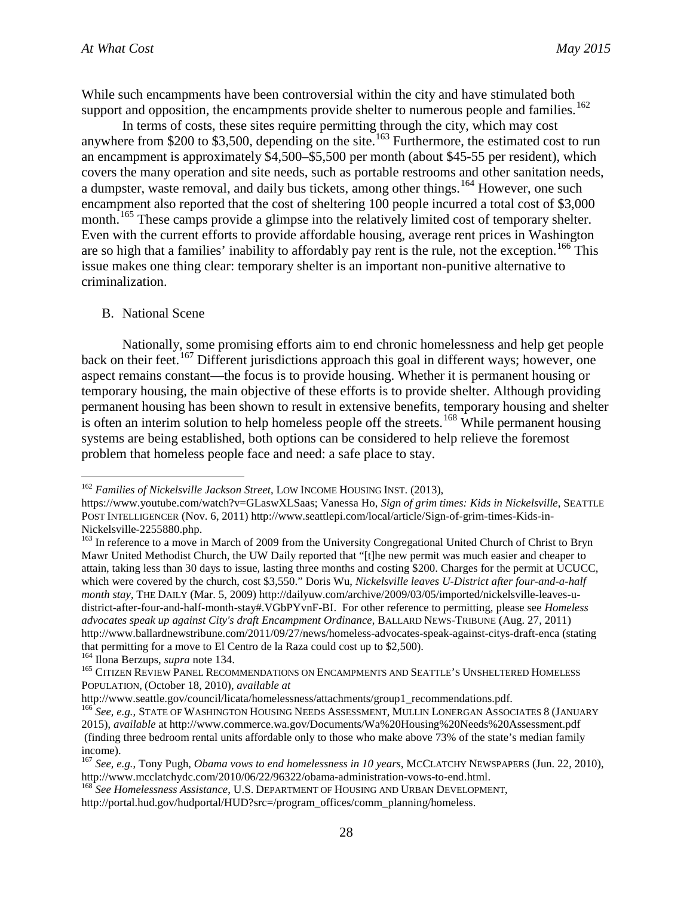While such encampments have been controversial within the city and have stimulated both support and opposition, the encampments provide shelter to numerous people and families.<sup>[162](#page-32-0)</sup>

In terms of costs, these sites require permitting through the city, which may cost anywhere from \$200 to \$3,500, depending on the site.<sup>[163](#page-32-1)</sup> Furthermore, the estimated cost to run an encampment is approximately \$4,500–\$5,500 per month (about \$45-55 per resident), which covers the many operation and site needs, such as portable restrooms and other sanitation needs, a dumpster, waste removal, and daily bus tickets, among other things.<sup>[164](#page-32-2)</sup> However, one such encampment also reported that the cost of sheltering 100 people incurred a total cost of \$3,000 month.<sup>[165](#page-32-3)</sup> These camps provide a glimpse into the relatively limited cost of temporary shelter. Even with the current efforts to provide affordable housing, average rent prices in Washington are so high that a families' inability to affordably pay rent is the rule, not the exception.<sup>[166](#page-32-4)</sup> This issue makes one thing clear: temporary shelter is an important non-punitive alternative to criminalization.

#### B. National Scene

Nationally, some promising efforts aim to end chronic homelessness and help get people back on their feet.<sup>[167](#page-32-5)</sup> Different jurisdictions approach this goal in different ways; however, one aspect remains constant—the focus is to provide housing. Whether it is permanent housing or temporary housing, the main objective of these efforts is to provide shelter. Although providing permanent housing has been shown to result in extensive benefits, temporary housing and shelter is often an interim solution to help homeless people off the streets.<sup>[168](#page-32-6)</sup> While permanent housing systems are being established, both options can be considered to help relieve the foremost problem that homeless people face and need: a safe place to stay.

<span id="page-32-0"></span> <sup>162</sup> *Families of Nickelsville Jackson Street*, LOW INCOME HOUSING INST. (2013),

https://www.youtube.com/watch?v=GLaswXLSaas; Vanessa Ho, *Sign of grim times: Kids in Nickelsville*, SEATTLE POST INTELLIGENCER (Nov. 6, 2011) http://www.seattlepi.com/local/article/Sign-of-grim-times-Kids-in-

<span id="page-32-1"></span>Nickelsville-2255880.php.<br><sup>163</sup> In reference to a move in March of 2009 from the University Congregational United Church of Christ to Bryn Mawr United Methodist Church, the UW Daily reported that "[t]he new permit was much easier and cheaper to attain, taking less than 30 days to issue, lasting three months and costing \$200. Charges for the permit at UCUCC, which were covered by the church, cost \$3,550." Doris Wu, *Nickelsville leaves U-District after four-and-a-half month stay*, THE DAILY (Mar. 5, 2009) http://dailyuw.com/archive/2009/03/05/imported/nickelsville-leaves-udistrict-after-four-and-half-month-stay#.VGbPYvnF-BI. For other reference to permitting, please see *Homeless advocates speak up against City's draft Encampment Ordinance*, BALLARD NEWS-TRIBUNE (Aug. 27, 2011) http://www.ballardnewstribune.com/2011/09/27/news/homeless-advocates-speak-against-citys-draft-enca (stating that permitting for a move to El Centro de la Raza could cost up to \$2,500).<br><sup>164</sup> Ilona Berzups, *supra* note 134.<br><sup>165</sup> CITIZEN REVIEW PANEL RECOMMENDATIONS ON ENCAMPMENTS AND SEATTLE'S UNSHELTERED HOMELESS

<span id="page-32-2"></span>

<span id="page-32-3"></span>POPULATION, (October 18, 2010), *available at* 

http://www.seattle.gov/council/licata/homelessness/attachments/group1\_recommendations.pdf.

<span id="page-32-4"></span><sup>&</sup>lt;sup>166</sup> See, e.g., STATE OF WASHINGTON HOUSING NEEDS ASSESSMENT, MULLIN LONERGAN ASSOCIATES 8 (JANUARY 2015), *available* at http://www.commerce.wa.gov/Documents/Wa%20Housing%20Needs%20Assessment.pdf (finding three bedroom rental units affordable only to those who make above 73% of the state's median family income).

<span id="page-32-5"></span><sup>&</sup>lt;sup>167</sup> *See, e.g.*, Tony Pugh, *Obama vows to end homelessness in 10 years*, MCCLATCHY NEWSPAPERS (Jun. 22, 2010), http://www.mcclatchydc.com/2010/06/22/96322/obama-administration-vows-to-end.html.

<span id="page-32-6"></span><sup>&</sup>lt;sup>168</sup> See Homelessness Assistance, U.S. DEPARTMENT OF HOUSING AND URBAN DEVELOPMENT, http://portal.hud.gov/hudportal/HUD?src=/program\_offices/comm\_planning/homeless.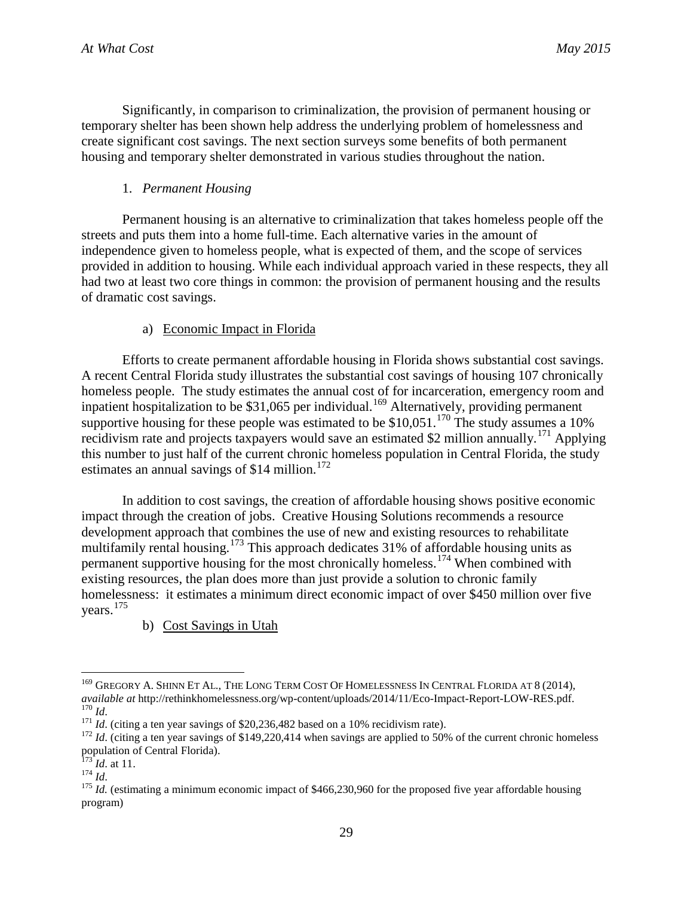Significantly, in comparison to criminalization, the provision of permanent housing or temporary shelter has been shown help address the underlying problem of homelessness and create significant cost savings. The next section surveys some benefits of both permanent housing and temporary shelter demonstrated in various studies throughout the nation.

# 1. *Permanent Housing*

Permanent housing is an alternative to criminalization that takes homeless people off the streets and puts them into a home full-time. Each alternative varies in the amount of independence given to homeless people, what is expected of them, and the scope of services provided in addition to housing. While each individual approach varied in these respects, they all had two at least two core things in common: the provision of permanent housing and the results of dramatic cost savings.

# a) Economic Impact in Florida

Efforts to create permanent affordable housing in Florida shows substantial cost savings. A recent Central Florida study illustrates the substantial cost savings of housing 107 chronically homeless people. The study estimates the annual cost of for incarceration, emergency room and inpatient hospitalization to be \$31,065 per individual.<sup>[169](#page-33-0)</sup> Alternatively, providing permanent supportive housing for these people was estimated to be  $$10,051$ .<sup>[170](#page-33-1)</sup> The study assumes a 10% recidivism rate and projects taxpayers would save an estimated \$2 million annually.<sup>[171](#page-33-2)</sup> Applying this number to just half of the current chronic homeless population in Central Florida, the study estimates an annual savings of \$14 million.<sup>[172](#page-33-3)</sup>

In addition to cost savings, the creation of affordable housing shows positive economic impact through the creation of jobs. Creative Housing Solutions recommends a resource development approach that combines the use of new and existing resources to rehabilitate multifamily rental housing.[173](#page-33-4) This approach dedicates 31% of affordable housing units as permanent supportive housing for the most chronically homeless.<sup>[174](#page-33-5)</sup> When combined with existing resources, the plan does more than just provide a solution to chronic family homelessness: it estimates a minimum direct economic impact of over \$450 million over five years.<sup>[175](#page-33-6)</sup>

b) Cost Savings in Utah

<span id="page-33-0"></span><sup>&</sup>lt;sup>169</sup> GREGORY A. SHINN ET AL., THE LONG TERM COST OF HOMELESSNESS IN CENTRAL FLORIDA AT 8 (2014), *available at* http://rethinkhomelessness.org/wp-content/uploads/2014/11/Eco-Impact-Report-LOW-RES.pdf.  $\frac{170 \text{ Id.}}{171 \text{ Id.}}$  (citing a ten year savings of \$20,236,482 based on a 10% recidivism rate).<br>  $\frac{171 \text{ Id.}}{172 \text{ Id.}}$  (citing a ten year savings of \$149,220,414 when savings are applied to 50% of the current chron

<span id="page-33-1"></span>

<span id="page-33-3"></span><span id="page-33-2"></span>population of Central Florida).<br> $^{173}$  *Id.* at 11.<br> $^{174}$  *Id.* 

<span id="page-33-4"></span>

<span id="page-33-6"></span><span id="page-33-5"></span><sup>&</sup>lt;sup>175</sup> *Id.* (estimating a minimum economic impact of \$466,230,960 for the proposed five year affordable housing program)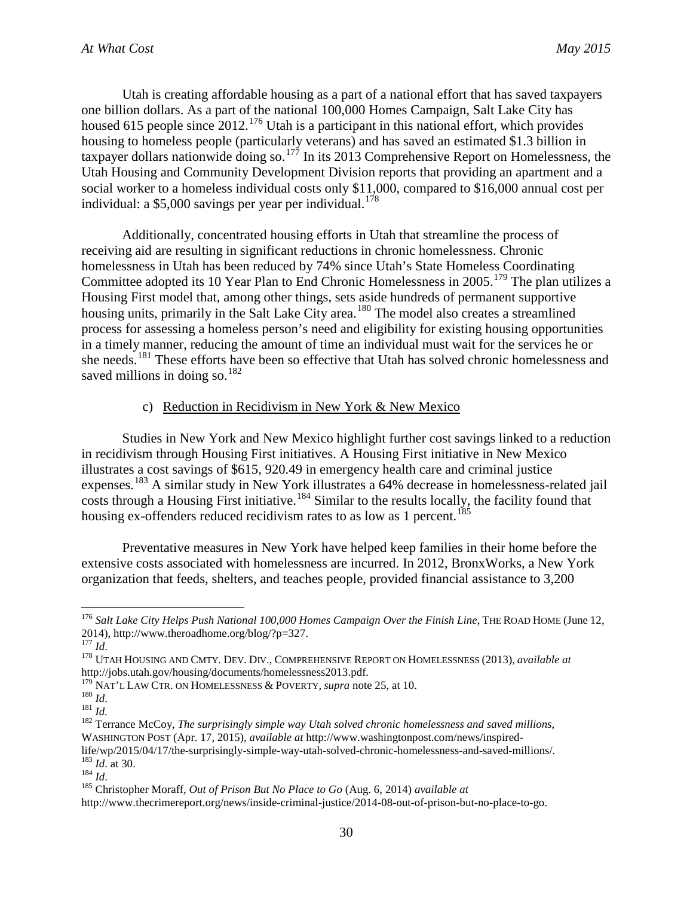Utah is creating affordable housing as a part of a national effort that has saved taxpayers one billion dollars. As a part of the national 100,000 Homes Campaign, Salt Lake City has housed 615 people since 2012.<sup>[176](#page-34-0)</sup> Utah is a participant in this national effort, which provides housing to homeless people (particularly veterans) and has saved an estimated \$1.3 billion in taxpayer dollars nationwide doing so.<sup>[177](#page-34-1)</sup> In its 2013 Comprehensive Report on Homelessness, the Utah Housing and Community Development Division reports that providing an apartment and a social worker to a homeless individual costs only \$11,000, compared to \$16,000 annual cost per individual: a \$5,000 savings per year per individual. [178](#page-34-2)

Additionally, concentrated housing efforts in Utah that streamline the process of receiving aid are resulting in significant reductions in chronic homelessness. Chronic homelessness in Utah has been reduced by 74% since Utah's State Homeless Coordinating Committee adopted its 10 Year Plan to End Chronic Homelessness in 2005.<sup>[179](#page-34-3)</sup> The plan utilizes a Housing First model that, among other things, sets aside hundreds of permanent supportive housing units, primarily in the Salt Lake City area.<sup>[180](#page-34-4)</sup> The model also creates a streamlined process for assessing a homeless person's need and eligibility for existing housing opportunities in a timely manner, reducing the amount of time an individual must wait for the services he or she needs.<sup>[181](#page-34-5)</sup> These efforts have been so effective that Utah has solved chronic homelessness and saved millions in doing so.<sup>[182](#page-34-6)</sup>

#### c) Reduction in Recidivism in New York & New Mexico

Studies in New York and New Mexico highlight further cost savings linked to a reduction in recidivism through Housing First initiatives. A Housing First initiative in New Mexico illustrates a cost savings of \$615, 920.49 in emergency health care and criminal justice expenses.[183](#page-34-7) A similar study in New York illustrates a 64% decrease in homelessness-related jail costs through a Housing First initiative.<sup>[184](#page-34-8)</sup> Similar to the results locally, the facility found that housing ex-offenders reduced recidivism rates to as low as 1 percent.<sup>[185](#page-34-9)</sup>

Preventative measures in New York have helped keep families in their home before the extensive costs associated with homelessness are incurred. In 2012, BronxWorks, a New York organization that feeds, shelters, and teaches people, provided financial assistance to 3,200

<span id="page-34-7"></span>life/wp/2015/04/17/the-surprisingly-simple-way-utah-solved-chronic-homelessness-and-saved-millions/.<br><sup>183</sup> *Id.* at 30.<br><sup>184</sup> *Id.*<br><sup>184</sup> *Id.*<br><sup>185</sup> Christopher Moraff, *Out of Prison But No Place to Go* (Aug. 6, 2014)

<span id="page-34-0"></span><sup>&</sup>lt;sup>176</sup> *Salt Lake City Helps Push National 100,000 Homes Campaign Over the Finish Line*, THE ROAD HOME (June 12, 2014), http://www.theroadhome.org/blog/?p=327.<br><sup>177</sup> *Id.* 

<span id="page-34-2"></span><span id="page-34-1"></span><sup>&</sup>lt;sup>178</sup> UTAH HOUSING AND CMTY. DEV. DIV., COMPREHENSIVE REPORT ON HOMELESSNESS (2013), *available at* http://jobs.utah.gov/housing/documents/homelessness2013.pdf.<br><sup>179</sup> NAT'L LAW CTR. ON HOMELESSNESS & POVERTY, *supra* note 25, at 10.

<span id="page-34-6"></span>

<span id="page-34-5"></span><span id="page-34-4"></span><span id="page-34-3"></span><sup>180</sup> ICAN CAR. ON HOMELESSNESS & POVERTY, *supprame is at 10. 181 Id.* 181 *Id.* 181 *Id.* 181 *Id.* 182 Terrance McCoy, *The surprisingly simple way Utah solved chronic homelessness and saved millions*, WASHINGTON POST (Apr. 17, 2015), *available at* http://www.washingtonpost.com/news/inspired-

<span id="page-34-8"></span>

<span id="page-34-9"></span>http://www.thecrimereport.org/news/inside-criminal-justice/2014-08-out-of-prison-but-no-place-to-go.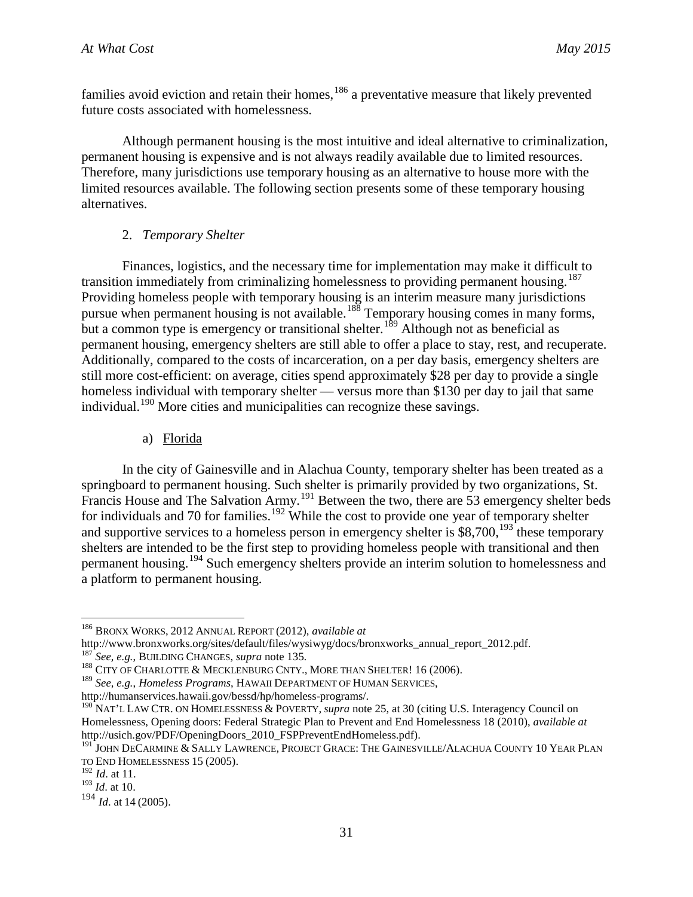families avoid eviction and retain their homes, <sup>[186](#page-35-0)</sup> a preventative measure that likely prevented future costs associated with homelessness.

Although permanent housing is the most intuitive and ideal alternative to criminalization, permanent housing is expensive and is not always readily available due to limited resources. Therefore, many jurisdictions use temporary housing as an alternative to house more with the limited resources available. The following section presents some of these temporary housing alternatives.

# 2. *Temporary Shelter*

Finances, logistics, and the necessary time for implementation may make it difficult to transition immediately from criminalizing homelessness to providing permanent housing.<sup>[187](#page-35-1)</sup> Providing homeless people with temporary housing is an interim measure many jurisdictions pursue when permanent housing is not available.<sup>[188](#page-35-2)</sup> Temporary housing comes in many forms, but a common type is emergency or transitional shelter.<sup>[189](#page-35-3)</sup> Although not as beneficial as permanent housing, emergency shelters are still able to offer a place to stay, rest, and recuperate. Additionally, compared to the costs of incarceration, on a per day basis, emergency shelters are still more cost-efficient: on average, cities spend approximately \$28 per day to provide a single homeless individual with temporary shelter — versus more than \$130 per day to jail that same individual.<sup>[190](#page-35-4)</sup> More cities and municipalities can recognize these savings.

a) Florida

In the city of Gainesville and in Alachua County, temporary shelter has been treated as a springboard to permanent housing. Such shelter is primarily provided by two organizations, St. Francis House and The Salvation Army.<sup>[191](#page-35-5)</sup> Between the two, there are 53 emergency shelter beds for individuals and 70 for families.<sup>[192](#page-35-6)</sup> While the cost to provide one year of temporary shelter and supportive services to a homeless person in emergency shelter is \$8,700,<sup>[193](#page-35-7)</sup> these temporary shelters are intended to be the first step to providing homeless people with transitional and then permanent housing.<sup>[194](#page-35-8)</sup> Such emergency shelters provide an interim solution to homelessness and a platform to permanent housing.

<span id="page-35-0"></span><sup>&</sup>lt;sup>186</sup> BRONX WORKS, 2012 ANNUAL REPORT (2012), *available at* http://www.bronxworks.org/sites/default/files/wysiwyg/docs/bronxworks annual report 2012.pdf.

<span id="page-35-2"></span><span id="page-35-1"></span><sup>&</sup>lt;sup>187</sup> See, e.g., BUILDING CHANGES, *supra* note 135.<br><sup>188</sup> CITY OF CHARLOTTE & MECKLENBURG CNTY., MORE THAN SHELTER! 16 (2006).

<span id="page-35-3"></span><sup>&</sup>lt;sup>189</sup> *See, e.g., Homeless Programs, HAWAII DEPARTMENT OF HUMAN SERVICES,* http://humanservices.hawaii.gov/bessd/hp/homeless-programs/.

<span id="page-35-4"></span><sup>&</sup>lt;sup>190</sup> NAT'L LAW CTR. ON HOMELESSNESS & POVERTY*, supra* note 25, at 30 (citing U.S. Interagency Council on Homelessness, Opening doors: Federal Strategic Plan to Prevent and End Homelessness 18 (2010), *available at* http://usich.gov/PDF/OpeningDoors\_2010\_FSPPreventEndHomeless.pdf).

<span id="page-35-5"></span><sup>&</sup>lt;sup>191</sup> JOHN DECARMINE & SALLY LAWRENCE, PROJECT GRACE: THE GAINESVILLE/ALACHUA COUNTY 10 YEAR PLAN TO END HOMELESSNESS 15 (2005).

<span id="page-35-6"></span><sup>&</sup>lt;sup>192</sup> *Id.* at 11.<br><sup>193</sup> *Id.* at 10.

<span id="page-35-8"></span><span id="page-35-7"></span><sup>&</sup>lt;sup>194</sup> *Id.* at 14 (2005).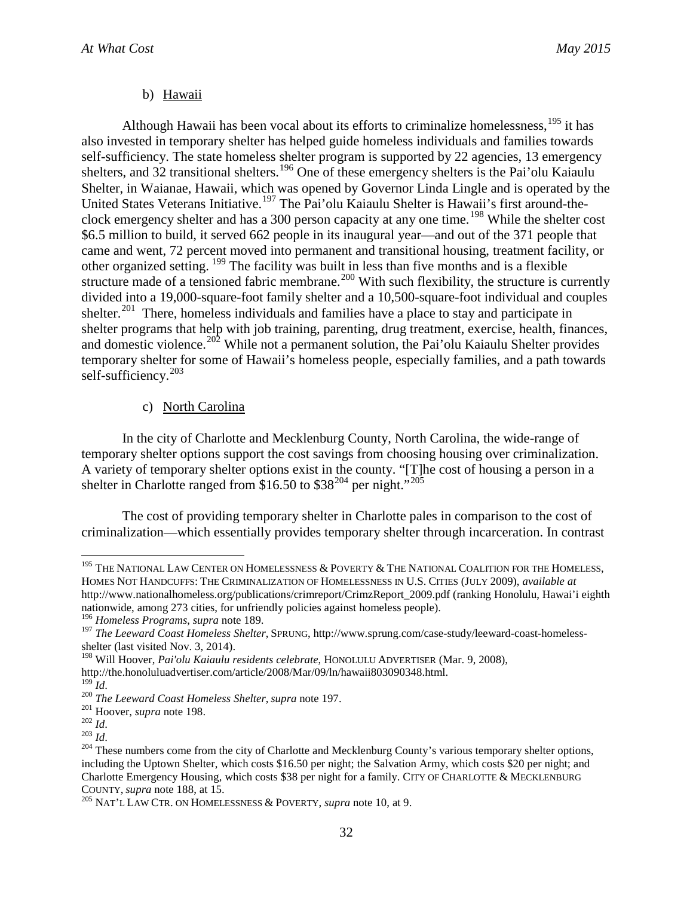#### b) Hawaii

Although Hawaii has been vocal about its efforts to criminalize homelessness.<sup>[195](#page-36-0)</sup> it has also invested in temporary shelter has helped guide homeless individuals and families towards self-sufficiency. The state homeless shelter program is supported by 22 agencies, 13 emergency shelters, and 32 transitional shelters.<sup>[196](#page-36-1)</sup> One of these emergency shelters is the Pai'olu Kaiaulu Shelter, in Waianae, Hawaii, which was opened by Governor Linda Lingle and is operated by the United States Veterans Initiative.<sup>[197](#page-36-2)</sup> The Pai'olu Kaiaulu Shelter is Hawaii's first around-the-clock emergency shelter and has a 300 person capacity at any one time.<sup>[198](#page-36-3)</sup> While the shelter cost \$6.5 million to build, it served 662 people in its inaugural year—and out of the 371 people that came and went, 72 percent moved into permanent and transitional housing, treatment facility, or other organized setting. [199](#page-36-4) The facility was built in less than five months and is a flexible structure made of a tensioned fabric membrane.<sup>[200](#page-36-5)</sup> With such flexibility, the structure is currently divided into a 19,000-square-foot family shelter and a 10,500-square-foot individual and couples shelter.<sup>201</sup> There, homeless individuals and families have a place to stay and participate in shelter programs that help with job training, parenting, drug treatment, exercise, health, finances, and domestic violence.<sup>[202](#page-36-7)</sup> While not a permanent solution, the Pai'olu Kaiaulu Shelter provides temporary shelter for some of Hawaii's homeless people, especially families, and a path towards self-sufficiency. [203](#page-36-8)

#### c) North Carolina

In the city of Charlotte and Mecklenburg County, North Carolina, the wide-range of temporary shelter options support the cost savings from choosing housing over criminalization. A variety of temporary shelter options exist in the county. "[T]he cost of housing a person in a shelter in Charlotte ranged from \$16.50 to  $$38^{204}$  $$38^{204}$  $$38^{204}$  per night."<sup>[205](#page-36-10)</sup>

The cost of providing temporary shelter in Charlotte pales in comparison to the cost of criminalization—which essentially provides temporary shelter through incarceration. In contrast

<span id="page-36-0"></span><sup>&</sup>lt;sup>195</sup> THE NATIONAL LAW CENTER ON HOMELESSNESS  $\&$  POVERTY  $\&$  THE NATIONAL COALITION FOR THE HOMELESS, HOMES NOT HANDCUFFS: THE CRIMINALIZATION OF HOMELESSNESS IN U.S. CITIES (JULY 2009), *available at* http://www.nationalhomeless.org/publications/crimreport/CrimzReport\_2009.pdf (ranking Honolulu, Hawai'i eighth nationwide, among 273 cities, for unfriendly policies against homeless people).

<span id="page-36-2"></span><span id="page-36-1"></span><sup>&</sup>lt;sup>196</sup> *Homeless Programs, supra* note 189.<br><sup>197</sup> *The Leeward Coast Homeless Shelter, SPRUNG, http://www.sprung.com/case-study/leeward-coast-homeless*shelter (last visited Nov. 3, 2014).

<span id="page-36-3"></span><sup>198</sup> Will Hoover, *Pai'olu Kaiaulu residents celebrate*, HONOLULU ADVERTISER (Mar. 9, 2008),

<span id="page-36-5"></span>

<span id="page-36-8"></span><span id="page-36-7"></span><span id="page-36-6"></span>

<span id="page-36-9"></span>

<span id="page-36-4"></span>http://the.honoluluadvertiser.com/article/2008/Mar/09/ln/hawaii803090348.html.<br>
<sup>199</sup> Id.<br>
<sup>200</sup> The Leeward Coast Homeless Shelter, supra note 197.<br>
<sup>201</sup> Hoover, supra note 198.<br>
<sup>202</sup> Id.<br>
<sup>203</sup> Id.<br>
<sup>203</sup> Id.<br>
<sup>203</sup> I including the Uptown Shelter, which costs \$16.50 per night; the Salvation Army, which costs \$20 per night; and Charlotte Emergency Housing, which costs \$38 per night for a family. CITY OF CHARLOTTE & MECKLENBURG COUNTY, *supra* note 188, at 15. <sup>205</sup> NAT'L LAW CTR. ON HOMELESSNESS & POVERTY, *supra* note 10, at 9.

<span id="page-36-10"></span>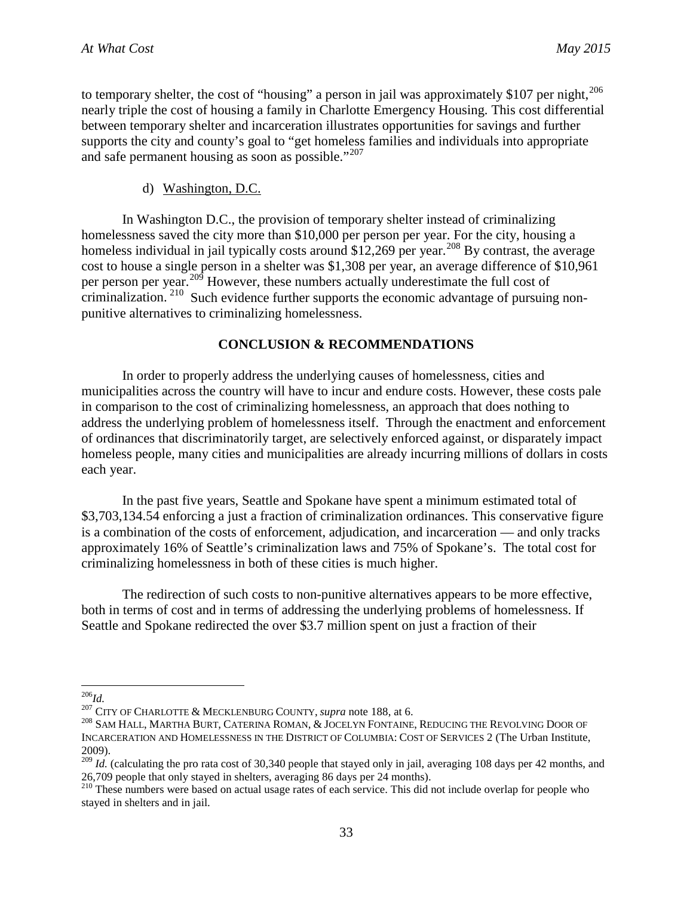to temporary shelter, the cost of "housing" a person in jail was approximately \$107 per night,<sup>[206](#page-37-0)</sup> nearly triple the cost of housing a family in Charlotte Emergency Housing. This cost differential between temporary shelter and incarceration illustrates opportunities for savings and further supports the city and county's goal to "get homeless families and individuals into appropriate and safe permanent housing as soon as possible."<sup>[207](#page-37-1)</sup>

#### d) Washington, D.C.

In Washington D.C., the provision of temporary shelter instead of criminalizing homelessness saved the city more than \$10,000 per person per year. For the city, housing a homeless individual in jail typically costs around \$12,269 per year.<sup>[208](#page-37-2)</sup> By contrast, the average cost to house a single person in a shelter was \$1,308 per year, an average difference of \$10,961 per person per year.<sup>[209](#page-37-3)</sup> However, these numbers actually underestimate the full cost of criminalization.<sup>[210](#page-37-4)</sup> Such evidence further supports the economic advantage of pursuing nonpunitive alternatives to criminalizing homelessness.

#### **CONCLUSION & RECOMMENDATIONS**

In order to properly address the underlying causes of homelessness, cities and municipalities across the country will have to incur and endure costs. However, these costs pale in comparison to the cost of criminalizing homelessness, an approach that does nothing to address the underlying problem of homelessness itself. Through the enactment and enforcement of ordinances that discriminatorily target, are selectively enforced against, or disparately impact homeless people, many cities and municipalities are already incurring millions of dollars in costs each year.

In the past five years, Seattle and Spokane have spent a minimum estimated total of \$3,703,134.54 enforcing a just a fraction of criminalization ordinances. This conservative figure is a combination of the costs of enforcement, adjudication, and incarceration — and only tracks approximately 16% of Seattle's criminalization laws and 75% of Spokane's. The total cost for criminalizing homelessness in both of these cities is much higher.

The redirection of such costs to non-punitive alternatives appears to be more effective, both in terms of cost and in terms of addressing the underlying problems of homelessness. If Seattle and Spokane redirected the over \$3.7 million spent on just a fraction of their

<span id="page-37-2"></span><span id="page-37-1"></span>

<span id="page-37-0"></span><sup>&</sup>lt;sup>206</sup>*Id.*<br><sup>207</sup> City of Charlotte & Mecklenburg County, *supra* note 188, at 6.<br><sup>208</sup> Sam Hall, Martha Burt, Caterina Roman, & Jocelyn Fontaine, Reducing the Revolving Door of INCARCERATION AND HOMELESSNESS IN THE DISTRICT OF COLUMBIA: COST OF SERVICES 2 (The Urban Institute, 2009).

<span id="page-37-3"></span><sup>209</sup> *Id.* (calculating the pro rata cost of 30,340 people that stayed only in jail, averaging 108 days per 42 months, and 26,709 people that only stayed in shelters, averaging 86 days per 24 months).

<span id="page-37-4"></span><sup>&</sup>lt;sup>210</sup> These numbers were based on actual usage rates of each service. This did not include overlap for people who stayed in shelters and in jail.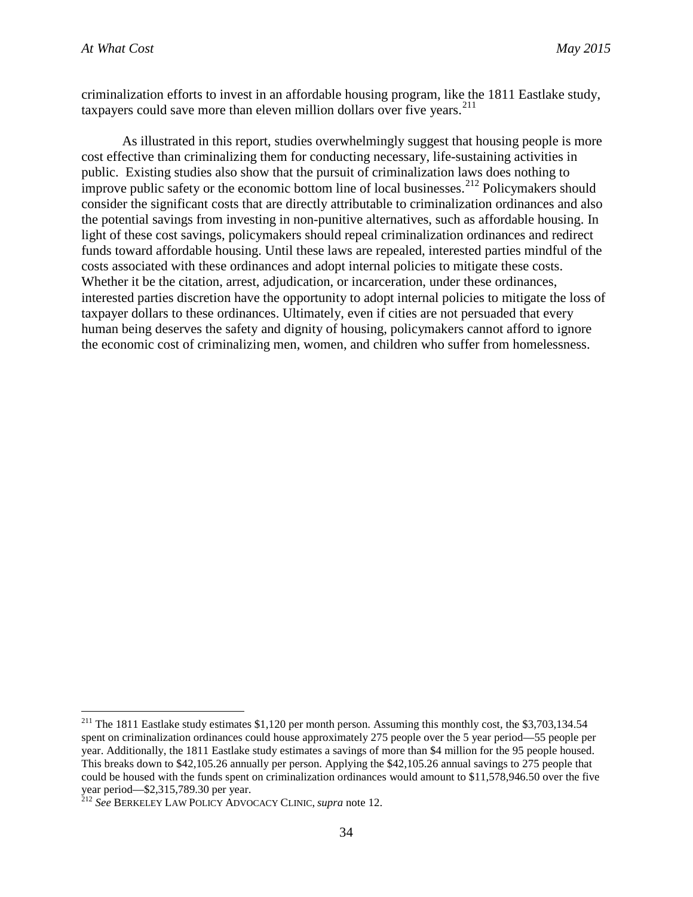criminalization efforts to invest in an affordable housing program, like the 1811 Eastlake study, taxpayers could save more than eleven million dollars over five years. [211](#page-38-0)

As illustrated in this report, studies overwhelmingly suggest that housing people is more cost effective than criminalizing them for conducting necessary, life-sustaining activities in public. Existing studies also show that the pursuit of criminalization laws does nothing to improve public safety or the economic bottom line of local businesses.<sup>[212](#page-38-1)</sup> Policymakers should consider the significant costs that are directly attributable to criminalization ordinances and also the potential savings from investing in non-punitive alternatives, such as affordable housing. In light of these cost savings, policymakers should repeal criminalization ordinances and redirect funds toward affordable housing. Until these laws are repealed, interested parties mindful of the costs associated with these ordinances and adopt internal policies to mitigate these costs. Whether it be the citation, arrest, adjudication, or incarceration, under these ordinances, interested parties discretion have the opportunity to adopt internal policies to mitigate the loss of taxpayer dollars to these ordinances. Ultimately, even if cities are not persuaded that every human being deserves the safety and dignity of housing, policymakers cannot afford to ignore the economic cost of criminalizing men, women, and children who suffer from homelessness.

<span id="page-38-0"></span><sup>&</sup>lt;sup>211</sup> The 1811 Eastlake study estimates \$1,120 per month person. Assuming this monthly cost, the \$3,703,134.54 spent on criminalization ordinances could house approximately 275 people over the 5 year period—55 people per year. Additionally, the 1811 Eastlake study estimates a savings of more than \$4 million for the 95 people housed. This breaks down to \$42,105.26 annually per person. Applying the \$42,105.26 annual savings to 275 people that could be housed with the funds spent on criminalization ordinances would amount to \$11,578,946.50 over the five year period—\$2,315,789.30 per year. <sup>212</sup> *See* BERKELEY LAW POLICY ADVOCACY CLINIC, *supra* note 12.

<span id="page-38-1"></span>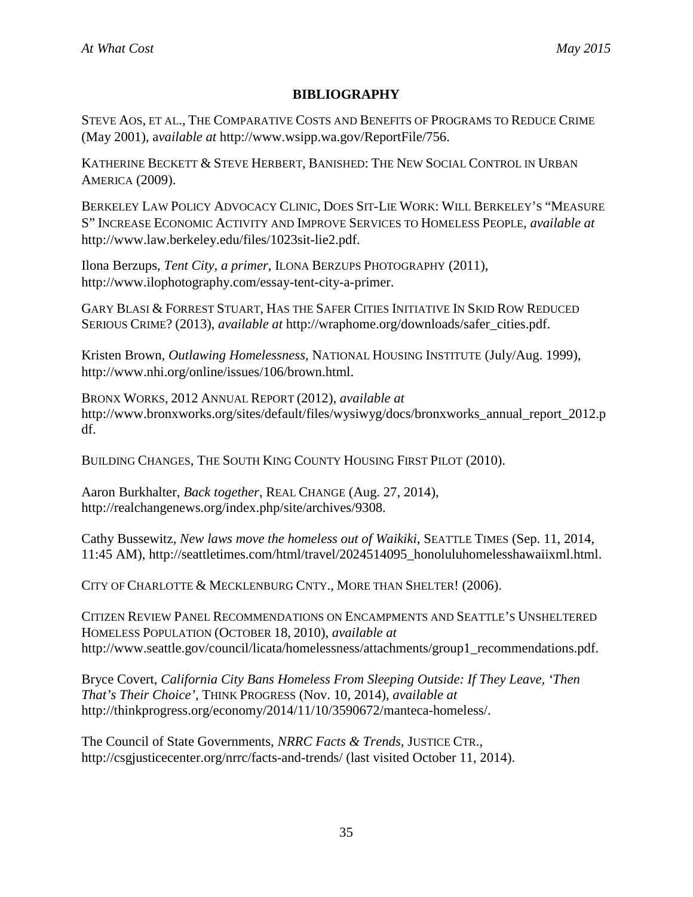# **BIBLIOGRAPHY**

STEVE AOS, ET AL., THE COMPARATIVE COSTS AND BENEFITS OF PROGRAMS TO REDUCE CRIME (May 2001), a*vailable at* http://www.wsipp.wa.gov/ReportFile/756.

KATHERINE BECKETT & STEVE HERBERT, BANISHED: THE NEW SOCIAL CONTROL IN URBAN AMERICA (2009).

BERKELEY LAW POLICY ADVOCACY CLINIC, DOES SIT-LIE WORK: WILL BERKELEY'S "MEASURE S" INCREASE ECONOMIC ACTIVITY AND IMPROVE SERVICES TO HOMELESS PEOPLE, *available at* http://www.law.berkeley.edu/files/1023sit-lie2.pdf.

Ilona Berzups, *Tent City, a primer*, ILONA BERZUPS PHOTOGRAPHY (2011), http://www.ilophotography.com/essay-tent-city-a-primer.

GARY BLASI & FORREST STUART, HAS THE SAFER CITIES INITIATIVE IN SKID ROW REDUCED SERIOUS CRIME? (2013), *available at* http://wraphome.org/downloads/safer\_cities.pdf.

Kristen Brown, *Outlawing Homelessness*, NATIONAL HOUSING INSTITUTE (July/Aug. 1999), http://www.nhi.org/online/issues/106/brown.html.

BRONX WORKS, 2012 ANNUAL REPORT (2012), *available at*  http://www.bronxworks.org/sites/default/files/wysiwyg/docs/bronxworks\_annual\_report\_2012.p df.

BUILDING CHANGES, THE SOUTH KING COUNTY HOUSING FIRST PILOT (2010).

Aaron Burkhalter, *Back together*, REAL CHANGE (Aug. 27, 2014), http://realchangenews.org/index.php/site/archives/9308.

Cathy Bussewitz, *New laws move the homeless out of Waikiki*, SEATTLE TIMES (Sep. 11, 2014, 11:45 AM), http://seattletimes.com/html/travel/2024514095\_honoluluhomelesshawaiixml.html.

CITY OF CHARLOTTE & MECKLENBURG CNTY., MORE THAN SHELTER! (2006).

CITIZEN REVIEW PANEL RECOMMENDATIONS ON ENCAMPMENTS AND SEATTLE'S UNSHELTERED HOMELESS POPULATION (OCTOBER 18, 2010), *available at*  http://www.seattle.gov/council/licata/homelessness/attachments/group1\_recommendations.pdf.

Bryce Covert, *California City Bans Homeless From Sleeping Outside: If They Leave, 'Then That's Their Choice'*, THINK PROGRESS (Nov. 10, 2014), *available at*  http://thinkprogress.org/economy/2014/11/10/3590672/manteca-homeless/.

The Council of State Governments, *NRRC Facts & Trends,* JUSTICE CTR.*,*  http://csgjusticecenter.org/nrrc/facts-and-trends/ (last visited October 11, 2014).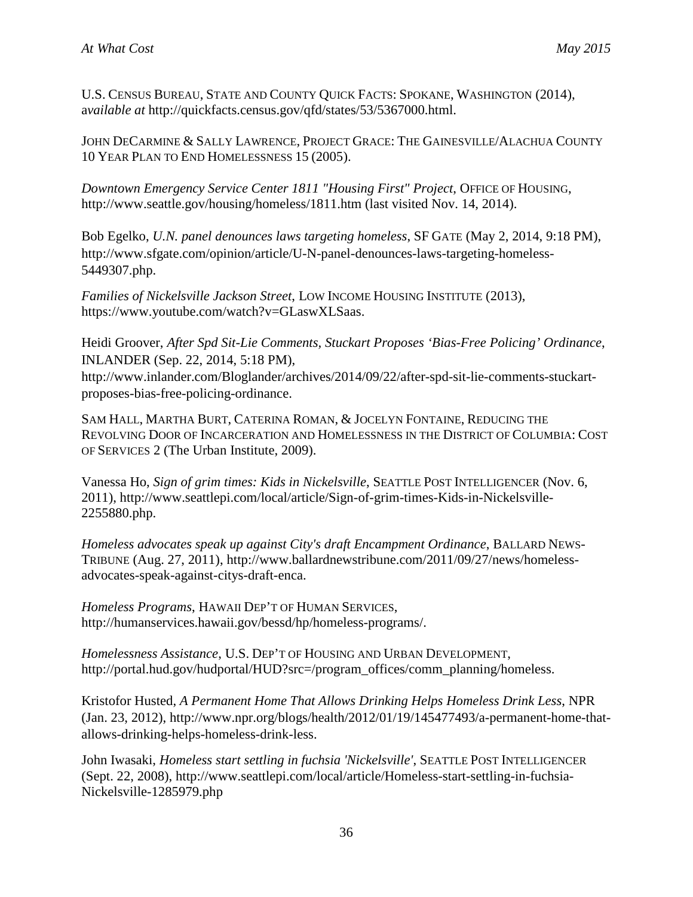U.S. CENSUS BUREAU, STATE AND COUNTY QUICK FACTS: SPOKANE, WASHINGTON (2014), a*vailable at* http://quickfacts.census.gov/qfd/states/53/5367000.html.

JOHN DECARMINE & SALLY LAWRENCE, PROJECT GRACE: THE GAINESVILLE/ALACHUA COUNTY 10 YEAR PLAN TO END HOMELESSNESS 15 (2005).

*Downtown Emergency Service Center 1811 "Housing First" Project*, OFFICE OF HOUSING, http://www.seattle.gov/housing/homeless/1811.htm (last visited Nov. 14, 2014).

Bob Egelko, *U.N. panel denounces laws targeting homeless*, SF GATE (May 2, 2014, 9:18 PM), http://www.sfgate.com/opinion/article/U-N-panel-denounces-laws-targeting-homeless-5449307.php.

*Families of Nickelsville Jackson Street*, LOW INCOME HOUSING INSTITUTE (2013), https://www.youtube.com/watch?v=GLaswXLSaas.

Heidi Groover, *After Spd Sit-Lie Comments, Stuckart Proposes 'Bias-Free Policing' Ordinance*, INLANDER (Sep. 22, 2014, 5:18 PM),

http://www.inlander.com/Bloglander/archives/2014/09/22/after-spd-sit-lie-comments-stuckartproposes-bias-free-policing-ordinance.

SAM HALL, MARTHA BURT, CATERINA ROMAN, & JOCELYN FONTAINE, REDUCING THE REVOLVING DOOR OF INCARCERATION AND HOMELESSNESS IN THE DISTRICT OF COLUMBIA: COST OF SERVICES 2 (The Urban Institute, 2009).

Vanessa Ho, *Sign of grim times: Kids in Nickelsville*, SEATTLE POST INTELLIGENCER (Nov. 6, 2011), http://www.seattlepi.com/local/article/Sign-of-grim-times-Kids-in-Nickelsville-2255880.php.

*Homeless advocates speak up against City's draft Encampment Ordinance*, BALLARD NEWS-TRIBUNE (Aug. 27, 2011), http://www.ballardnewstribune.com/2011/09/27/news/homelessadvocates-speak-against-citys-draft-enca.

*Homeless Programs*, HAWAII DEP'T OF HUMAN SERVICES, http://humanservices.hawaii.gov/bessd/hp/homeless-programs/.

*Homelessness Assistance*, U.S. DEP'T OF HOUSING AND URBAN DEVELOPMENT, http://portal.hud.gov/hudportal/HUD?src=/program\_offices/comm\_planning/homeless.

Kristofor Husted, *A Permanent Home That Allows Drinking Helps Homeless Drink Less*, NPR (Jan. 23, 2012), http://www.npr.org/blogs/health/2012/01/19/145477493/a-permanent-home-thatallows-drinking-helps-homeless-drink-less.

John Iwasaki, *Homeless start settling in fuchsia 'Nickelsville'*, SEATTLE POST INTELLIGENCER (Sept. 22, 2008), http://www.seattlepi.com/local/article/Homeless-start-settling-in-fuchsia-Nickelsville-1285979.php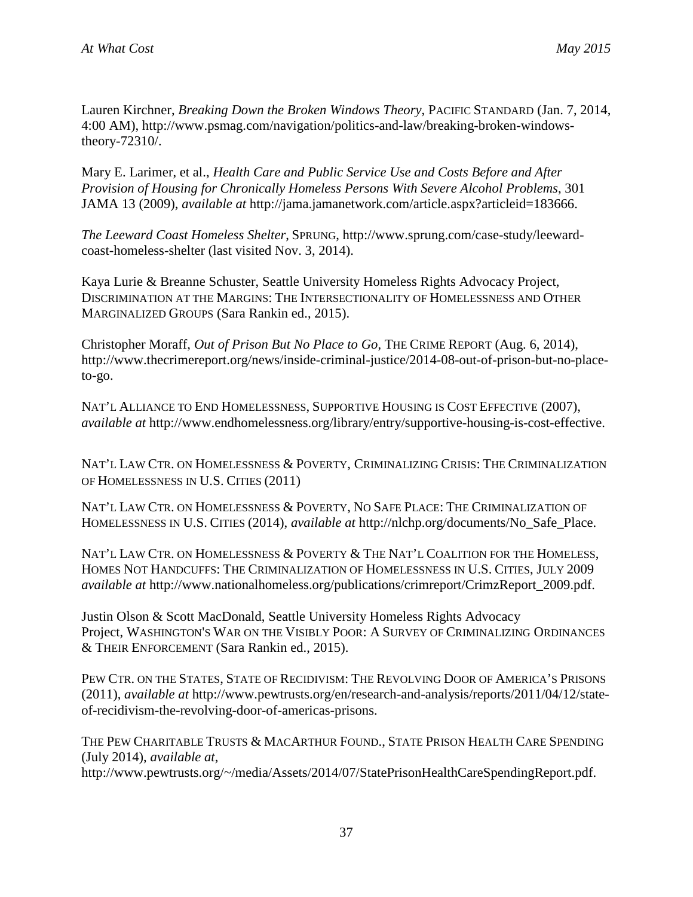Lauren Kirchner, *Breaking Down the Broken Windows Theory*, PACIFIC STANDARD (Jan. 7, 2014, 4:00 AM), http://www.psmag.com/navigation/politics-and-law/breaking-broken-windowstheory-72310/.

Mary E. Larimer, et al., *Health Care and Public Service Use and Costs Before and After Provision of Housing for Chronically Homeless Persons With Severe Alcohol Problems*, 301 JAMA 13 (2009), *available at* http://jama.jamanetwork.com/article.aspx?articleid=183666.

*The Leeward Coast Homeless Shelter*, SPRUNG, http://www.sprung.com/case-study/leewardcoast-homeless-shelter (last visited Nov. 3, 2014).

Kaya Lurie & Breanne Schuster, Seattle University Homeless Rights Advocacy Project, DISCRIMINATION AT THE MARGINS: THE INTERSECTIONALITY OF HOMELESSNESS AND OTHER MARGINALIZED GROUPS (Sara Rankin ed., 2015).

Christopher Moraff, *Out of Prison But No Place to Go*, THE CRIME REPORT (Aug. 6, 2014), http://www.thecrimereport.org/news/inside-criminal-justice/2014-08-out-of-prison-but-no-placeto-go.

NAT'L ALLIANCE TO END HOMELESSNESS, SUPPORTIVE HOUSING IS COST EFFECTIVE (2007), *available at* http://www.endhomelessness.org/library/entry/supportive-housing-is-cost-effective.

NAT'L LAW CTR. ON HOMELESSNESS & POVERTY, CRIMINALIZING CRISIS: THE CRIMINALIZATION OF HOMELESSNESS IN U.S. CITIES (2011)

NAT'L LAW CTR. ON HOMELESSNESS & POVERTY, NO SAFE PLACE: THE CRIMINALIZATION OF HOMELESSNESS IN U.S. CITIES (2014), *available at* http://nlchp.org/documents/No\_Safe\_Place.

NAT'L LAW CTR. ON HOMELESSNESS & POVERTY & THE NAT'L COALITION FOR THE HOMELESS, HOMES NOT HANDCUFFS: THE CRIMINALIZATION OF HOMELESSNESS IN U.S. CITIES, JULY 2009 *available at* http://www.nationalhomeless.org/publications/crimreport/CrimzReport\_2009.pdf.

Justin Olson & Scott MacDonald, Seattle University Homeless Rights Advocacy Project, WASHINGTON'S WAR ON THE VISIBLY POOR: A SURVEY OF CRIMINALIZING ORDINANCES & THEIR ENFORCEMENT (Sara Rankin ed., 2015).

PEW CTR. ON THE STATES, STATE OF RECIDIVISM: THE REVOLVING DOOR OF AMERICA'S PRISONS (2011), *available at* http://www.pewtrusts.org/en/research-and-analysis/reports/2011/04/12/stateof-recidivism-the-revolving-door-of-americas-prisons.

THE PEW CHARITABLE TRUSTS & MACARTHUR FOUND., STATE PRISON HEALTH CARE SPENDING (July 2014), *available at*,

http://www.pewtrusts.org/~/media/Assets/2014/07/StatePrisonHealthCareSpendingReport.pdf.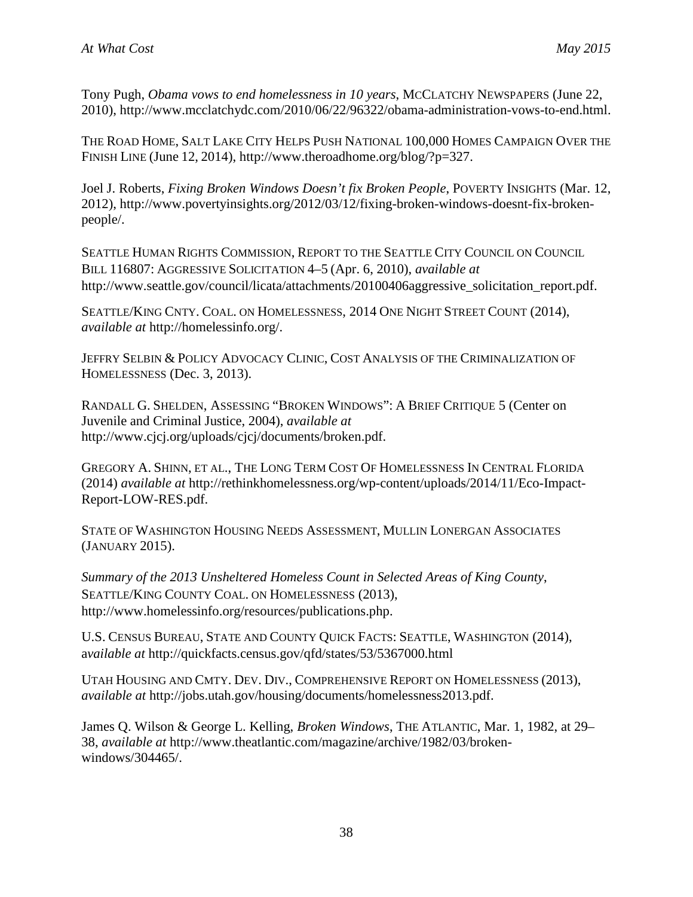Tony Pugh, *Obama vows to end homelessness in 10 years*, MCCLATCHY NEWSPAPERS (June 22, 2010), http://www.mcclatchydc.com/2010/06/22/96322/obama-administration-vows-to-end.html.

THE ROAD HOME, SALT LAKE CITY HELPS PUSH NATIONAL 100,000 HOMES CAMPAIGN OVER THE FINISH LINE (June 12, 2014), http://www.theroadhome.org/blog/?p=327.

Joel J. Roberts, *Fixing Broken Windows Doesn't fix Broken People*, POVERTY INSIGHTS (Mar. 12, 2012), http://www.povertyinsights.org/2012/03/12/fixing-broken-windows-doesnt-fix-brokenpeople/.

SEATTLE HUMAN RIGHTS COMMISSION, REPORT TO THE SEATTLE CITY COUNCIL ON COUNCIL BILL 116807: AGGRESSIVE SOLICITATION 4–5 (Apr. 6, 2010), *available at* http://www.seattle.gov/council/licata/attachments/20100406aggressive\_solicitation\_report.pdf.

SEATTLE/KING CNTY. COAL. ON HOMELESSNESS, 2014 ONE NIGHT STREET COUNT (2014), *available at* http://homelessinfo.org/.

JEFFRY SELBIN & POLICY ADVOCACY CLINIC, COST ANALYSIS OF THE CRIMINALIZATION OF HOMELESSNESS (Dec. 3, 2013).

RANDALL G. SHELDEN, ASSESSING "BROKEN WINDOWS": A BRIEF CRITIQUE 5 (Center on Juvenile and Criminal Justice, 2004), *available at* http://www.cjcj.org/uploads/cjcj/documents/broken.pdf.

GREGORY A. SHINN, ET AL., THE LONG TERM COST OF HOMELESSNESS IN CENTRAL FLORIDA (2014) *available at* http://rethinkhomelessness.org/wp-content/uploads/2014/11/Eco-Impact-Report-LOW-RES.pdf.

STATE OF WASHINGTON HOUSING NEEDS ASSESSMENT, MULLIN LONERGAN ASSOCIATES (JANUARY 2015).

*Summary of the 2013 Unsheltered Homeless Count in Selected Areas of King County*, SEATTLE/KING COUNTY COAL. ON HOMELESSNESS (2013), http://www.homelessinfo.org/resources/publications.php.

U.S. CENSUS BUREAU, STATE AND COUNTY QUICK FACTS: SEATTLE, WASHINGTON (2014), a*vailable at* http://quickfacts.census.gov/qfd/states/53/5367000.html

UTAH HOUSING AND CMTY. DEV. DIV., COMPREHENSIVE REPORT ON HOMELESSNESS (2013), *available at* http://jobs.utah.gov/housing/documents/homelessness2013.pdf.

James Q. Wilson & George L. Kelling, *Broken Windows*, THE ATLANTIC, Mar. 1, 1982, at 29– 38, *available at* http://www.theatlantic.com/magazine/archive/1982/03/brokenwindows/304465/.